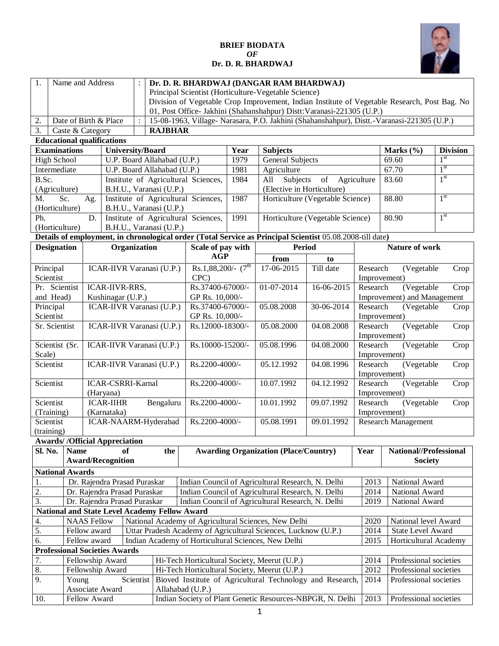## **BRIEF BIODATA** *OF*



## **Dr. D. R. BHARDWAJ**

| 1.                                   | Name and Address                                                                                                                                                                                                                                                           |     |                                 | $\ddot{\cdot}$                |                                                      |                                     |                  |                                                                |                                                                                                           |                                            |                                                                                            |                 |
|--------------------------------------|----------------------------------------------------------------------------------------------------------------------------------------------------------------------------------------------------------------------------------------------------------------------------|-----|---------------------------------|-------------------------------|------------------------------------------------------|-------------------------------------|------------------|----------------------------------------------------------------|-----------------------------------------------------------------------------------------------------------|--------------------------------------------|--------------------------------------------------------------------------------------------|-----------------|
|                                      | Dr. D. R. BHARDWAJ (DANGAR RAM BHARDWAJ)<br>Principal Scientist (Horticulture-Vegetable Science)<br>Division of Vegetable Crop Improvement, Indian Institute of Vegetable Research, Post Bag. No<br>01, Post Office- Jakhini (Shahanshahpur) Distt: Varanasi-221305 (U.P.) |     |                                 |                               |                                                      |                                     |                  |                                                                |                                                                                                           |                                            |                                                                                            |                 |
|                                      |                                                                                                                                                                                                                                                                            |     |                                 |                               |                                                      |                                     |                  |                                                                |                                                                                                           |                                            |                                                                                            |                 |
|                                      |                                                                                                                                                                                                                                                                            |     |                                 |                               |                                                      |                                     |                  |                                                                |                                                                                                           |                                            | 15-08-1963, Village- Narasara, P.O. Jakhini (Shahanshahpur), Distt.-Varanasi-221305 (U.P.) |                 |
| 2.<br>3.                             | Date of Birth & Place                                                                                                                                                                                                                                                      |     |                                 | $\ddot{\cdot}$                | <b>RAJBHAR</b>                                       |                                     |                  |                                                                |                                                                                                           |                                            |                                                                                            |                 |
| <b>Educational qualifications</b>    | Caste & Category                                                                                                                                                                                                                                                           |     |                                 |                               |                                                      |                                     |                  |                                                                |                                                                                                           |                                            |                                                                                            |                 |
| <b>Examinations</b>                  |                                                                                                                                                                                                                                                                            |     | <b>University/Board</b>         |                               |                                                      |                                     | Year             | <b>Subjects</b>                                                |                                                                                                           |                                            | Marks (%)                                                                                  | <b>Division</b> |
| <b>High School</b>                   |                                                                                                                                                                                                                                                                            |     |                                 |                               | U.P. Board Allahabad (U.P.)                          |                                     | 1979             | <b>General Subjects</b>                                        |                                                                                                           |                                            | 69.60                                                                                      | 1 <sup>st</sup> |
| Intermediate                         |                                                                                                                                                                                                                                                                            |     |                                 |                               | U.P. Board Allahabad (U.P.)                          |                                     | 1981             | Agriculture                                                    |                                                                                                           |                                            | 67.70                                                                                      | 1 <sup>st</sup> |
| B.Sc.                                |                                                                                                                                                                                                                                                                            |     |                                 |                               |                                                      | Institute of Agricultural Sciences, | 1984             | Subjects<br>All                                                | of<br>Agriculture                                                                                         |                                            | 83.60                                                                                      | 1 <sup>st</sup> |
| (Agriculture)                        |                                                                                                                                                                                                                                                                            |     |                                 |                               | B.H.U., Varanasi (U.P.)                              |                                     |                  | (Elective in Horticulture)                                     |                                                                                                           |                                            |                                                                                            |                 |
| M.                                   | Sc.                                                                                                                                                                                                                                                                        | Ag. |                                 |                               |                                                      | Institute of Agricultural Sciences, | 1987             |                                                                | Horticulture (Vegetable Science)                                                                          |                                            | 88.80                                                                                      | 1 <sup>st</sup> |
| (Horticulture)                       |                                                                                                                                                                                                                                                                            |     |                                 |                               | B.H.U., Varanasi (U.P.)                              |                                     |                  |                                                                |                                                                                                           |                                            |                                                                                            |                 |
| Ph.                                  |                                                                                                                                                                                                                                                                            | D.  |                                 |                               |                                                      | Institute of Agricultural Sciences, | 1991             |                                                                | Horticulture (Vegetable Science)                                                                          |                                            | 80.90                                                                                      | 1 <sup>st</sup> |
| (Horticulture)                       |                                                                                                                                                                                                                                                                            |     |                                 |                               | B.H.U., Varanasi (U.P.)                              |                                     |                  |                                                                |                                                                                                           |                                            |                                                                                            |                 |
|                                      |                                                                                                                                                                                                                                                                            |     |                                 |                               |                                                      |                                     |                  |                                                                | Details of employment, in chronological order (Total Service as Principal Scientist 05.08.2008-till date) |                                            |                                                                                            |                 |
|                                      | <b>Designation</b><br>Scale of pay with<br>Organization<br><b>Period</b>                                                                                                                                                                                                   |     |                                 |                               |                                                      |                                     |                  |                                                                | Nature of work                                                                                            |                                            |                                                                                            |                 |
|                                      |                                                                                                                                                                                                                                                                            |     |                                 |                               |                                                      | <b>AGP</b>                          |                  | from                                                           | to                                                                                                        |                                            |                                                                                            |                 |
| Principal<br>Scientist               |                                                                                                                                                                                                                                                                            |     |                                 |                               | ICAR-IIVR Varanasi (U.P.)                            | Rs.1,88,200/- $(7^{th}$<br>CPC)     |                  | 17-06-2015                                                     | Till date                                                                                                 | Research                                   | (Vegetable<br>Improvement)                                                                 | Crop            |
|                                      | ICAR-IIVR-RRS,<br>Pr. Scientist                                                                                                                                                                                                                                            |     |                                 |                               |                                                      | Rs.37400-67000/-                    |                  | 01-07-2014                                                     | 16-06-2015                                                                                                | Research                                   | (Vegetable                                                                                 | Crop            |
|                                      | and Head)<br>Kushinagar (U.P.)                                                                                                                                                                                                                                             |     |                                 |                               | GP Rs. 10,000/-                                      |                                     |                  |                                                                | Improvement) and Management                                                                               |                                            |                                                                                            |                 |
|                                      | ICAR-IIVR Varanasi (U.P.)<br>Principal                                                                                                                                                                                                                                     |     |                                 |                               | Rs.37400-67000/-                                     |                                     | 05.08.2008       | $30-06-2014$                                                   | Research<br>(Vegetable                                                                                    |                                            | Crop                                                                                       |                 |
|                                      | Scientist                                                                                                                                                                                                                                                                  |     |                                 | GP Rs. 10,000/-<br>05.08.2000 |                                                      |                                     |                  |                                                                | Improvement)                                                                                              |                                            |                                                                                            |                 |
| Sr. Scientist                        |                                                                                                                                                                                                                                                                            |     |                                 |                               | ICAR-IIVR Varanasi (U.P.)                            |                                     | Rs.12000-18300/- |                                                                | 04.08.2008                                                                                                | Research                                   | (Vegetable<br>Improvement)                                                                 | Crop            |
| Scientist (Sr.                       |                                                                                                                                                                                                                                                                            |     |                                 |                               | ICAR-IIVR Varanasi (U.P.)                            | Rs.10000-15200/-                    |                  | 05.08.1996                                                     | 04.08.2000                                                                                                | Research                                   | (Vegetable                                                                                 | Crop            |
| Scale)                               |                                                                                                                                                                                                                                                                            |     |                                 |                               |                                                      |                                     |                  |                                                                |                                                                                                           |                                            | Improvement)                                                                               |                 |
| Scientist                            |                                                                                                                                                                                                                                                                            |     |                                 |                               | ICAR-IIVR Varanasi (U.P.)                            | Rs.2200-4000/-                      |                  | $\overline{0}$ 5.12.1992                                       | 04.08.1996                                                                                                | Research                                   | (Vegetable                                                                                 | Crop            |
|                                      |                                                                                                                                                                                                                                                                            |     |                                 |                               |                                                      |                                     |                  |                                                                |                                                                                                           | Improvement)                               |                                                                                            |                 |
| Scientist                            |                                                                                                                                                                                                                                                                            |     | <b>ICAR-CSRRI-Karnal</b>        |                               |                                                      | Rs.2200-4000/-                      |                  | 10.07.1992                                                     | 04.12.1992                                                                                                | (Vegetable<br>Research<br>Improvement)     |                                                                                            | Crop            |
|                                      |                                                                                                                                                                                                                                                                            |     | (Haryana)                       |                               |                                                      |                                     |                  |                                                                | 09.07.1992                                                                                                |                                            |                                                                                            |                 |
| Scientist                            |                                                                                                                                                                                                                                                                            |     | <b>ICAR-IIHR</b><br>(Karnataka) |                               | Bengaluru                                            | Rs.2200-4000/-                      |                  | 10.01.1992                                                     |                                                                                                           | Research                                   | (Vegetable                                                                                 | Crop            |
| (Training)<br>Scientist              |                                                                                                                                                                                                                                                                            |     |                                 |                               | ICAR-NAARM-Hyderabad                                 | Rs.2200-4000/-                      |                  | 05.08.1991                                                     | 09.01.1992                                                                                                | Improvement)<br><b>Research Management</b> |                                                                                            |                 |
| (training)                           |                                                                                                                                                                                                                                                                            |     |                                 |                               |                                                      |                                     |                  |                                                                |                                                                                                           |                                            |                                                                                            |                 |
| <b>Awards//Official Appreciation</b> |                                                                                                                                                                                                                                                                            |     |                                 |                               |                                                      |                                     |                  |                                                                |                                                                                                           |                                            |                                                                                            |                 |
| Sl. No.                              | <b>Name</b>                                                                                                                                                                                                                                                                |     | оf                              |                               | the                                                  |                                     |                  | <b>Awarding Organization (Place/Country)</b>                   |                                                                                                           | Year                                       | National//Professional                                                                     |                 |
|                                      |                                                                                                                                                                                                                                                                            |     | <b>Award/Recognition</b>        |                               |                                                      |                                     |                  |                                                                |                                                                                                           |                                            | <b>Society</b>                                                                             |                 |
| <b>National Awards</b>               |                                                                                                                                                                                                                                                                            |     |                                 |                               |                                                      |                                     |                  |                                                                |                                                                                                           |                                            |                                                                                            |                 |
| 1.                                   |                                                                                                                                                                                                                                                                            |     | Dr. Rajendra Prasad Puraskar    |                               |                                                      |                                     |                  | Indian Council of Agricultural Research, N. Delhi              |                                                                                                           | 2013                                       | National Award                                                                             |                 |
| 2.                                   |                                                                                                                                                                                                                                                                            |     | Dr. Rajendra Prasad Puraskar    |                               |                                                      |                                     |                  | Indian Council of Agricultural Research, N. Delhi              |                                                                                                           | 2014                                       | National Award                                                                             |                 |
| 3.                                   |                                                                                                                                                                                                                                                                            |     | Dr. Rajendra Prasad Puraskar    |                               |                                                      |                                     |                  | Indian Council of Agricultural Research, N. Delhi              |                                                                                                           | 2019                                       | National Award                                                                             |                 |
|                                      |                                                                                                                                                                                                                                                                            |     |                                 |                               | <b>National and State Level Academy Fellow Award</b> |                                     |                  |                                                                |                                                                                                           |                                            |                                                                                            |                 |
| 4.                                   | <b>NAAS</b> Fellow                                                                                                                                                                                                                                                         |     |                                 |                               |                                                      |                                     |                  | National Academy of Agricultural Sciences, New Delhi           |                                                                                                           | 2020                                       | National level Award                                                                       |                 |
| 5.                                   | Fellow award                                                                                                                                                                                                                                                               |     |                                 |                               |                                                      |                                     |                  | Uttar Pradesh Academy of Agricultural Sciences, Lucknow (U.P.) |                                                                                                           | 2014                                       | State Level Award                                                                          |                 |
| 6.                                   | Fellow award                                                                                                                                                                                                                                                               |     |                                 |                               |                                                      |                                     |                  | Indian Academy of Horticultural Sciences, New Delhi            |                                                                                                           | 2015                                       | Horticultural Academy                                                                      |                 |
| <b>Professional Societies Awards</b> |                                                                                                                                                                                                                                                                            |     |                                 |                               |                                                      |                                     |                  |                                                                |                                                                                                           |                                            |                                                                                            |                 |
| 7.                                   |                                                                                                                                                                                                                                                                            |     | Fellowship Award                |                               |                                                      |                                     |                  | Hi-Tech Horticultural Society, Meerut (U.P.)                   |                                                                                                           | 2014                                       | Professional societies                                                                     |                 |
| 8.                                   |                                                                                                                                                                                                                                                                            |     | Fellowship Award                |                               |                                                      |                                     |                  | Hi-Tech Horticultural Society, Meerut (U.P.)                   |                                                                                                           | 2012                                       | Professional societies                                                                     |                 |
| 9.                                   | Young                                                                                                                                                                                                                                                                      |     |                                 | Scientist                     |                                                      |                                     |                  |                                                                | Bioved Institute of Agricultural Technology and Research,                                                 | 2014                                       | Professional societies                                                                     |                 |
|                                      |                                                                                                                                                                                                                                                                            |     | Associate Award                 |                               |                                                      | Allahabad (U.P.)                    |                  |                                                                |                                                                                                           |                                            |                                                                                            |                 |
| 10.                                  | Fellow Award                                                                                                                                                                                                                                                               |     |                                 |                               |                                                      |                                     |                  |                                                                | Indian Society of Plant Genetic Resources-NBPGR, N. Delhi                                                 | 2013                                       | Professional societies                                                                     |                 |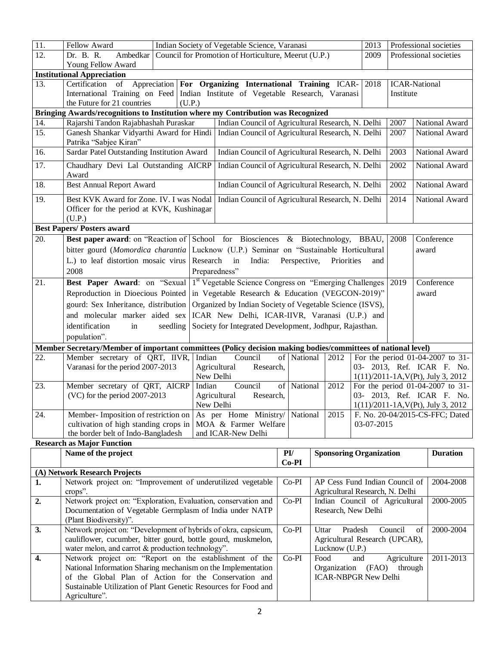| $\overline{11}$ . | Fellow Award                                                                                                             | Indian Society of Vegetable Science, Varanasi                 |                |                                 | 2013       | Professional societies |                                                                       |
|-------------------|--------------------------------------------------------------------------------------------------------------------------|---------------------------------------------------------------|----------------|---------------------------------|------------|------------------------|-----------------------------------------------------------------------|
| 12.               | Ambedkar<br>Dr. B. R.                                                                                                    | Council for Promotion of Horticulture, Meerut (U.P.)          |                |                                 | 2009       |                        | Professional societies                                                |
|                   | Young Fellow Award                                                                                                       |                                                               |                |                                 |            |                        |                                                                       |
|                   | <b>Institutional Appreciation</b>                                                                                        |                                                               |                |                                 |            |                        |                                                                       |
| 13.               | Certification<br>of                                                                                                      | Appreciation For Organizing International Training ICAR- 2018 |                |                                 |            | <b>ICAR-National</b>   |                                                                       |
|                   | International Training on Feed Indian Institute of Vegetable Research, Varanasi<br>the Future for 21 countries<br>(U.P.) |                                                               |                |                                 |            | Institute              |                                                                       |
|                   | Bringing Awards/recognitions to Institution where my Contribution was Recognized                                         |                                                               |                |                                 |            |                        |                                                                       |
| 14.               | Rajarshi Tandon Rajabhashah Puraskar                                                                                     | Indian Council of Agricultural Research, N. Delhi             |                |                                 |            | 2007                   | National Award                                                        |
| $\overline{15}$ . | Ganesh Shankar Vidyarthi Award for Hindi                                                                                 | Indian Council of Agricultural Research, N. Delhi             |                |                                 |            | 2007                   | National Award                                                        |
|                   | Patrika "Sabjee Kiran"                                                                                                   |                                                               |                |                                 |            |                        |                                                                       |
| 16.               | Sardar Patel Outstanding Institution Award                                                                               | Indian Council of Agricultural Research, N. Delhi             |                |                                 |            | 2003                   | National Award                                                        |
| 17.               | Chaudhary Devi Lal Outstanding AICRP<br>Award                                                                            | Indian Council of Agricultural Research, N. Delhi             |                |                                 |            | 2002                   | National Award                                                        |
| 18.               | <b>Best Annual Report Award</b>                                                                                          | Indian Council of Agricultural Research, N. Delhi             |                |                                 |            | 2002                   | National Award                                                        |
| 19.               | Best KVK Award for Zone. IV. I was Nodal                                                                                 | Indian Council of Agricultural Research, N. Delhi             |                |                                 |            | 2014                   | National Award                                                        |
|                   | Officer for the period at KVK, Kushinagar                                                                                |                                                               |                |                                 |            |                        |                                                                       |
|                   | (U.P.)                                                                                                                   |                                                               |                |                                 |            |                        |                                                                       |
|                   | <b>Best Papers/ Posters award</b>                                                                                        |                                                               |                |                                 |            |                        |                                                                       |
| 20.               | <b>Best paper award:</b> on "Reaction of School for Biosciences & Biotechnology, BBAU,                                   |                                                               |                |                                 |            | 2008                   | Conference                                                            |
|                   | bitter gourd (Momordica charantia                                                                                        | Lucknow (U.P.) Seminar on "Sustainable Horticultural          |                |                                 |            |                        | award                                                                 |
|                   | L.) to leaf distortion mosaic virus                                                                                      | Research<br>in<br>India:                                      | Perspective,   | Priorities                      | and        |                        |                                                                       |
|                   | 2008                                                                                                                     | Preparedness"                                                 |                |                                 |            |                        |                                                                       |
| 21.               | <b>Best Paper Award:</b> on "Sexual 1 <sup>st</sup> Vegetable Science Congress on "Emerging Challenges"                  |                                                               |                |                                 |            | 2019                   | Conference                                                            |
|                   | Reproduction in Dioecious Pointed                                                                                        | in Vegetable Research & Education (VEGCON-2019)"              |                |                                 |            |                        | award                                                                 |
|                   | gourd: Sex Inheritance, distribution                                                                                     | Organized by Indian Society of Vegetable Science (ISVS),      |                |                                 |            |                        |                                                                       |
|                   | and molecular marker aided sex                                                                                           | ICAR New Delhi, ICAR-IIVR, Varanasi (U.P.) and                |                |                                 |            |                        |                                                                       |
|                   | identification<br>seedling<br>in                                                                                         | Society for Integrated Development, Jodhpur, Rajasthan.       |                |                                 |            |                        |                                                                       |
|                   | population".                                                                                                             |                                                               |                |                                 |            |                        |                                                                       |
|                   | Member Secretary/Member of important committees (Policy decision making bodies/committees of national level)             |                                                               |                |                                 |            |                        |                                                                       |
| 22.               | Member secretary of QRT, IIVR,                                                                                           | Indian<br>Council                                             | of National    | 2012                            |            |                        | For the period 01-04-2007 to 31-                                      |
|                   | Varanasi for the period 2007-2013                                                                                        | Agricultural<br>Research,<br>New Delhi                        |                |                                 |            |                        | 03- 2013, Ref. ICAR F. No.<br>$1(11)/2011 - 1A$ , V(Pt), July 3, 2012 |
| 23.               | Member secretary of QRT, AICRP                                                                                           | Council<br>Indian                                             | of National    | 2012                            |            |                        | For the period 01-04-2007 to 31-                                      |
|                   | (VC) for the period 2007-2013                                                                                            | Research,<br>Agricultural                                     |                |                                 |            |                        | 03- 2013, Ref. ICAR F. No.                                            |
|                   |                                                                                                                          | New Delhi                                                     |                |                                 |            |                        | $1(11)/2011 - 1A$ , V(Pt), July 3, 2012                               |
| 24.               | Member- Imposition of restriction on                                                                                     | As per Home Ministry/                                         | National       | 2015                            |            |                        | F. No. 20-04/2015-CS-FFC; Dated                                       |
|                   | cultivation of high standing crops in                                                                                    | MOA & Farmer Welfare                                          |                |                                 | 03-07-2015 |                        |                                                                       |
|                   | the border belt of Indo-Bangladesh                                                                                       | and ICAR-New Delhi                                            |                |                                 |            |                        |                                                                       |
|                   | <b>Research as Major Function</b>                                                                                        |                                                               |                |                                 |            |                        |                                                                       |
|                   | Name of the project                                                                                                      |                                                               | PI/<br>$Co-PI$ | <b>Sponsoring Organization</b>  |            |                        | <b>Duration</b>                                                       |
|                   | (A) Network Research Projects                                                                                            |                                                               |                |                                 |            |                        |                                                                       |
| 1.                | Network project on: "Improvement of underutilized vegetable                                                              |                                                               | $Co-PI$        | AP Cess Fund Indian Council of  |            |                        | 2004-2008                                                             |
|                   | crops".                                                                                                                  |                                                               |                | Agricultural Research, N. Delhi |            |                        |                                                                       |
| 2.                | Network project on: "Exploration, Evaluation, conservation and                                                           |                                                               | Co-PI          | Indian Council of Agricultural  |            |                        | 2000-2005                                                             |
|                   | Documentation of Vegetable Germplasm of India under NATP                                                                 |                                                               |                | Research, New Delhi             |            |                        |                                                                       |
| 3.                | (Plant Biodiversity)".<br>Network project on: "Development of hybrids of okra, capsicum,                                 |                                                               | $Co-PI$        | Uttar                           | Pradesh    | Council<br>of          | 2000-2004                                                             |
|                   | cauliflower, cucumber, bitter gourd, bottle gourd, muskmelon,                                                            |                                                               |                | Agricultural Research (UPCAR),  |            |                        |                                                                       |
|                   | water melon, and carrot & production technology".                                                                        |                                                               |                | Lucknow (U.P.)                  |            |                        |                                                                       |
| 4.                | Network project on: "Report on the establishment of the                                                                  |                                                               | $Co-PI$        | Food                            | and        | Agriculture            | 2011-2013                                                             |
|                   | National Information Sharing mechanism on the Implementation                                                             |                                                               |                | Organization                    | (FAO)      | through                |                                                                       |
|                   | of the Global Plan of Action for the Conservation and                                                                    |                                                               |                | <b>ICAR-NBPGR New Delhi</b>     |            |                        |                                                                       |
|                   | Sustainable Utilization of Plant Genetic Resources for Food and                                                          |                                                               |                |                                 |            |                        |                                                                       |
|                   | Agriculture".                                                                                                            |                                                               |                |                                 |            |                        |                                                                       |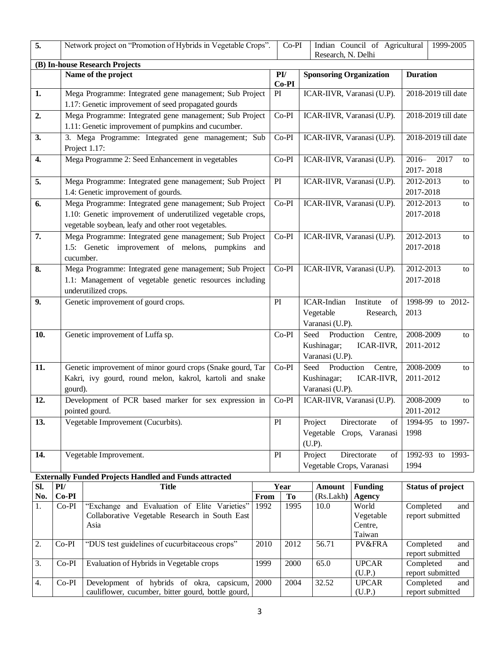| 5.  |                                                                                                                                                                               | Network project on "Promotion of Hybrids in Vegetable Crops".                                                             |      | $Co-PI$                           |                            | Research, N. Delhi                                   | Indian Council of Agricultural          |                        | 1999-2005                          |
|-----|-------------------------------------------------------------------------------------------------------------------------------------------------------------------------------|---------------------------------------------------------------------------------------------------------------------------|------|-----------------------------------|----------------------------|------------------------------------------------------|-----------------------------------------|------------------------|------------------------------------|
|     |                                                                                                                                                                               | (B) In-house Research Projects                                                                                            |      |                                   |                            |                                                      |                                         |                        |                                    |
|     |                                                                                                                                                                               | Name of the project                                                                                                       |      | $\mathbf{P}\mathbf{I}$<br>$Co-PI$ |                            | <b>Sponsoring Organization</b>                       |                                         | <b>Duration</b>        |                                    |
| 1.  |                                                                                                                                                                               | Mega Programme: Integrated gene management; Sub Project<br>1.17: Genetic improvement of seed propagated gourds            |      | PI                                |                            |                                                      | ICAR-IIVR, Varanasi (U.P).              |                        | 2018-2019 till date                |
| 2.  |                                                                                                                                                                               | Mega Programme: Integrated gene management; Sub Project                                                                   |      | $Co-PI$                           |                            |                                                      | ICAR-IIVR, Varanasi (U.P).              |                        | 2018-2019 till date                |
|     |                                                                                                                                                                               | 1.11: Genetic improvement of pumpkins and cucumber.                                                                       |      |                                   |                            |                                                      |                                         |                        |                                    |
| 3.  |                                                                                                                                                                               | 3. Mega Programme: Integrated gene management; Sub<br>Project 1.17:                                                       |      | $Co-PI$                           |                            |                                                      | ICAR-IIVR, Varanasi (U.P).              |                        | 2018-2019 till date                |
| 4.  |                                                                                                                                                                               | Mega Programme 2: Seed Enhancement in vegetables                                                                          |      | $Co-PI$                           |                            | ICAR-IIVR, Varanasi (U.P).                           |                                         |                        | $2016-$<br>2017<br>to<br>2017-2018 |
| 5.  |                                                                                                                                                                               | Mega Programme: Integrated gene management; Sub Project<br>1.4: Genetic improvement of gourds.                            |      | PI                                |                            |                                                      | ICAR-IIVR, Varanasi (U.P).              | 2012-2013<br>2017-2018 | to                                 |
| 6.  | Mega Programme: Integrated gene management; Sub Project<br>1.10: Genetic improvement of underutilized vegetable crops,<br>vegetable soybean, leafy and other root vegetables. |                                                                                                                           |      | $Co-PI$                           |                            |                                                      | ICAR-IIVR, Varanasi (U.P).              | 2012-2013<br>2017-2018 | to                                 |
| 7.  | Mega Programme: Integrated gene management; Sub Project<br>1.5: Genetic improvement of melons, pumpkins and<br>cucumber.                                                      |                                                                                                                           |      | $Co-PI$                           | ICAR-IIVR, Varanasi (U.P). |                                                      |                                         | 2012-2013<br>2017-2018 | to                                 |
| 8.  | Mega Programme: Integrated gene management; Sub Project<br>1.1: Management of vegetable genetic resources including<br>underutilized crops.                                   |                                                                                                                           |      | $Co-PI$                           |                            |                                                      | ICAR-IIVR, Varanasi (U.P).              | 2012-2013<br>2017-2018 | to                                 |
| 9.  |                                                                                                                                                                               | Genetic improvement of gourd crops.                                                                                       |      | PI                                |                            | ICAR-Indian<br>Vegetable<br>Varanasi (U.P).          | Institute<br>of<br>Research,            | 2013                   | 1998-99 to 2012-                   |
| 10. |                                                                                                                                                                               | Genetic improvement of Luffa sp.                                                                                          |      | $Co-PI$                           |                            | Seed<br>Production<br>Kushinagar;<br>Varanasi (U.P). | Centre,<br>ICAR-IIVR,                   | 2008-2009<br>2011-2012 | to                                 |
| 11. | gourd).                                                                                                                                                                       | Genetic improvement of minor gourd crops (Snake gourd, Tar<br>Kakri, ivy gourd, round melon, kakrol, kartoli and snake    |      | $Co-PI$                           |                            | Seed<br>Production<br>Kushinagar;<br>Varanasi (U.P). | Centre,<br>ICAR-IIVR,                   | 2008-2009<br>2011-2012 | to                                 |
| 12. |                                                                                                                                                                               | Development of PCR based marker for sex expression in<br>pointed gourd.                                                   |      | $Co-PI$                           |                            |                                                      | ICAR-IIVR, Varanasi (U.P).              | 2008-2009<br>2011-2012 | to                                 |
| 13. |                                                                                                                                                                               | Vegetable Improvement (Cucurbits).                                                                                        |      | PI                                |                            | Project                                              | Directorate<br>of                       | 1994-95                | to 1997-                           |
|     |                                                                                                                                                                               |                                                                                                                           |      |                                   |                            |                                                      | Vegetable Crops, Varanasi               | 1998                   |                                    |
|     |                                                                                                                                                                               |                                                                                                                           |      |                                   |                            | (U.P).                                               |                                         |                        |                                    |
| 14. |                                                                                                                                                                               | Vegetable Improvement.                                                                                                    |      | PI                                |                            | Project<br>Vegetable Crops, Varanasi                 | Directorate<br>of                       | 1994                   | 1992-93 to 1993-                   |
|     |                                                                                                                                                                               | <b>Externally Funded Projects Handled and Funds attracted</b>                                                             |      |                                   |                            |                                                      |                                         |                        |                                    |
| SI. | $\mathbf{P}\mathbf{I}$                                                                                                                                                        | <b>Title</b>                                                                                                              |      | Year                              |                            | <b>Amount</b>                                        | <b>Funding</b>                          |                        | <b>Status of project</b>           |
| No. | $Co-PI$                                                                                                                                                                       |                                                                                                                           | From | To                                |                            | (Rs.Lakh)                                            | <b>Agency</b>                           |                        |                                    |
| 1.  |                                                                                                                                                                               | "Exchange and Evaluation of Elite Varieties"<br>1992<br>$Co-PI$<br>Collaborative Vegetable Research in South East<br>Asia |      | 1995                              |                            | 10.0                                                 | World<br>Vegetable<br>Centre,<br>Taiwan | Completed              | and<br>report submitted            |
| 2.  | $Co-PI$                                                                                                                                                                       | "DUS test guidelines of cucurbitaceous crops"                                                                             | 2010 | 2012                              |                            | 56.71                                                | PV&FRA                                  | Completed              | and<br>report submitted            |
| 3.  | $Co-PI$                                                                                                                                                                       | Evaluation of Hybrids in Vegetable crops                                                                                  | 1999 | 2000                              |                            | 65.0                                                 | <b>UPCAR</b><br>(U.P.)                  | Completed              | and<br>report submitted            |
| 4.  | $Co-PI$                                                                                                                                                                       | Development of hybrids of okra, capsicum,<br>cauliflower, cucumber, bitter gourd, bottle gourd,                           | 2000 | 2004                              |                            | 32.52                                                | <b>UPCAR</b><br>(U.P.)                  | Completed              | and<br>report submitted            |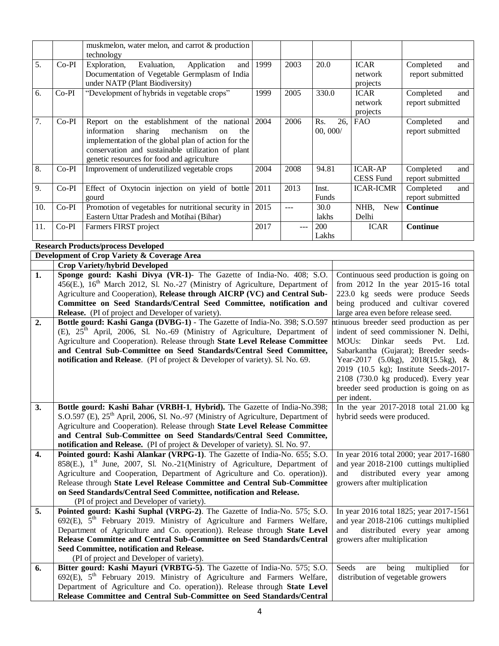|     |         | muskmelon, water melon, and carrot & production                                                                                                                       |      |                |            |                                      |                                                                          |
|-----|---------|-----------------------------------------------------------------------------------------------------------------------------------------------------------------------|------|----------------|------------|--------------------------------------|--------------------------------------------------------------------------|
|     |         | technology                                                                                                                                                            |      |                |            |                                      |                                                                          |
| 5.  | Co-PI   | Evaluation,<br>Exploration,<br>Application<br>and                                                                                                                     | 1999 | 2003           | 20.0       | <b>ICAR</b>                          | Completed<br>and                                                         |
|     |         | Documentation of Vegetable Germplasm of India                                                                                                                         |      |                |            | network                              | report submitted                                                         |
|     |         | under NATP (Plant Biodiversity)                                                                                                                                       |      |                |            | projects                             |                                                                          |
| 6.  | $Co-PI$ | "Development of hybrids in vegetable crops"                                                                                                                           | 1999 | 2005           | 330.0      | <b>ICAR</b>                          | Completed<br>and                                                         |
|     |         |                                                                                                                                                                       |      |                |            | network                              | report submitted                                                         |
|     |         |                                                                                                                                                                       |      |                |            | projects                             |                                                                          |
| 7.  | $Co-PI$ | Report on the establishment of the national 2004                                                                                                                      |      | 2006           | Rs.<br>26, | <b>FAO</b>                           | Completed<br>and                                                         |
|     |         | information<br>sharing<br>mechanism<br>on<br>the                                                                                                                      |      |                | 00, 000/   |                                      | report submitted                                                         |
|     |         | implementation of the global plan of action for the                                                                                                                   |      |                |            |                                      |                                                                          |
|     |         | conservation and sustainable utilization of plant                                                                                                                     |      |                |            |                                      |                                                                          |
|     |         | genetic resources for food and agriculture                                                                                                                            |      |                |            |                                      |                                                                          |
| 8.  | Co-PI   | Improvement of underutilized vegetable crops                                                                                                                          | 2004 | 2008           | 94.81      | <b>ICAR-AP</b>                       | Completed<br>and                                                         |
|     |         |                                                                                                                                                                       |      |                |            | <b>CESS Fund</b>                     | report submitted                                                         |
| 9.  | Co-PI   | Effect of Oxytocin injection on yield of bottle                                                                                                                       | 2011 | 2013           | Inst.      | <b>ICAR-ICMR</b>                     | Completed<br>and                                                         |
|     |         | gourd                                                                                                                                                                 |      |                | Funds      |                                      | report submitted                                                         |
| 10. | $Co-PI$ | Promotion of vegetables for nutritional security in                                                                                                                   | 2015 | $\overline{a}$ | 30.0       | NHB,<br><b>New</b>                   | <b>Continue</b>                                                          |
|     |         | Eastern Uttar Pradesh and Motihai (Bihar)                                                                                                                             |      |                | lakhs      | Delhi                                |                                                                          |
| 11. | $Co-PI$ | Farmers FIRST project                                                                                                                                                 | 2017 |                | 200        | <b>ICAR</b>                          | <b>Continue</b>                                                          |
|     |         |                                                                                                                                                                       |      |                | Lakhs      |                                      |                                                                          |
|     |         | <b>Research Products/process Developed</b>                                                                                                                            |      |                |            |                                      |                                                                          |
|     |         | Development of Crop Variety & Coverage Area                                                                                                                           |      |                |            |                                      |                                                                          |
|     |         | <b>Crop Variety/hybrid Developed</b>                                                                                                                                  |      |                |            |                                      |                                                                          |
| 1.  |         | Sponge gourd: Kashi Divya (VR-1)- The Gazette of India-No. 408; S.O.                                                                                                  |      |                |            |                                      | Continuous seed production is going on                                   |
|     |         | 456(E.), 16 <sup>th</sup> March 2012, Sl. No.-27 (Ministry of Agriculture, Department of<br>Agriculture and Cooperation), Release through AICRP (VC) and Central Sub- |      |                |            |                                      | from 2012 In the year 2015-16 total<br>223.0 kg seeds were produce Seeds |
|     |         |                                                                                                                                                                       |      |                |            |                                      | being produced and cultivar covered                                      |
|     |         | Committee on Seed Standards/Central Seed Committee, notification and<br>Release. (PI of project and Developer of variety).                                            |      |                |            | large area even before release seed. |                                                                          |
| 2.  |         | Bottle gourd: Kashi Ganga (DVBG-1) - The Gazette of India-No. 398; S.O.597                                                                                            |      |                |            |                                      | htinuous breeder seed production as per                                  |
|     |         | (E), $25th$ April, 2006, Sl. No.-69 (Ministry of Agriculture, Department of                                                                                           |      |                |            |                                      | indent of seed commissioner N. Delhi,                                    |
|     |         | Agriculture and Cooperation). Release through State Level Release Committee                                                                                           |      |                |            | Dinkar<br>MOU <sub>s</sub> :         | seeds<br>Pvt.<br>Ltd.                                                    |
|     |         | and Central Sub-Committee on Seed Standards/Central Seed Committee,                                                                                                   |      |                |            |                                      | Sabarkantha (Gujarat); Breeder seeds-                                    |
|     |         | notification and Release. (PI of project & Developer of variety). Sl. No. 69.                                                                                         |      |                |            |                                      | Year-2017 (5.0kg), 2018(15.5kg), &                                       |
|     |         |                                                                                                                                                                       |      |                |            |                                      | 2019 (10.5 kg); Institute Seeds-2017-                                    |
|     |         |                                                                                                                                                                       |      |                |            |                                      | 2108 (730.0 kg produced). Every year                                     |
|     |         |                                                                                                                                                                       |      |                |            |                                      | breeder seed production is going on as                                   |
|     |         |                                                                                                                                                                       |      |                |            | per indent.                          |                                                                          |
| 3.  |         | Bottle gourd: Kashi Bahar (VRBH-1, Hybrid). The Gazette of India-No.398;                                                                                              |      |                |            |                                      | In the year $2017-2018$ total $21.00$ kg                                 |
|     |         | S.O.597 (E), 25 <sup>th</sup> April, 2006, Sl. No.-97 (Ministry of Agriculture, Department of                                                                         |      |                |            | hybrid seeds were produced.          |                                                                          |
|     |         | Agriculture and Cooperation). Release through State Level Release Committee                                                                                           |      |                |            |                                      |                                                                          |
|     |         | and Central Sub-Committee on Seed Standards/Central Seed Committee,                                                                                                   |      |                |            |                                      |                                                                          |
|     |         | notification and Release. (PI of project & Developer of variety). Sl. No. 97.                                                                                         |      |                |            |                                      |                                                                          |
| 4.  |         | Pointed gourd: Kashi Alankar (VRPG-1). The Gazette of India-No. 655; S.O.                                                                                             |      |                |            |                                      | In year 2016 total 2000; year 2017-1680                                  |
|     |         | 858(E.), 1 <sup>st</sup> June, 2007, Sl. No.-21(Ministry of Agriculture, Department of                                                                                |      |                |            |                                      | and year 2018-2100 cuttings multiplied                                   |
|     |         | Agriculture and Cooperation, Department of Agriculture and Co. operation)).                                                                                           |      |                | and        |                                      | distributed every year among                                             |
|     |         | Release through State Level Release Committee and Central Sub-Committee                                                                                               |      |                |            | growers after multiplication         |                                                                          |
|     |         | on Seed Standards/Central Seed Committee, notification and Release.                                                                                                   |      |                |            |                                      |                                                                          |
|     |         | (PI of project and Developer of variety).                                                                                                                             |      |                |            |                                      |                                                                          |
| 5.  |         | Pointed gourd: Kashi Suphal (VRPG-2). The Gazette of India-No. 575; S.O.                                                                                              |      |                |            |                                      | In year 2016 total 1825; year 2017-1561                                  |
|     |         | 692(E), 5 <sup>th</sup> February 2019. Ministry of Agriculture and Farmers Welfare,                                                                                   |      |                |            |                                      | and year 2018-2106 cuttings multiplied                                   |
|     |         | Department of Agriculture and Co. operation)). Release through State Level                                                                                            |      |                | and        |                                      | distributed every year among                                             |
|     |         | Release Committee and Central Sub-Committee on Seed Standards/Central                                                                                                 |      |                |            | growers after multiplication         |                                                                          |
|     |         | Seed Committee, notification and Release.                                                                                                                             |      |                |            |                                      |                                                                          |
|     |         | (PI of project and Developer of variety).                                                                                                                             |      |                |            |                                      |                                                                          |
| 6.  |         | Bitter gourd: Kashi Mayuri (VRBTG-5). The Gazette of India-No. 575; S.O.                                                                                              |      |                | Seeds      | being<br>are                         | multiplied<br>for                                                        |
|     |         | 692(E), 5 <sup>th</sup> February 2019. Ministry of Agriculture and Farmers Welfare,                                                                                   |      |                |            | distribution of vegetable growers    |                                                                          |
|     |         | Department of Agriculture and Co. operation)). Release through State Level                                                                                            |      |                |            |                                      |                                                                          |
|     |         | Release Committee and Central Sub-Committee on Seed Standards/Central                                                                                                 |      |                |            |                                      |                                                                          |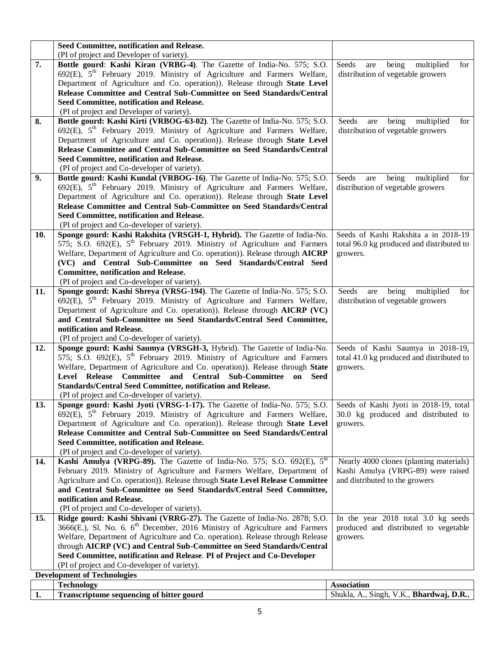|     | Seed Committee, notification and Release.                                                                        |                                            |
|-----|------------------------------------------------------------------------------------------------------------------|--------------------------------------------|
|     | (PI of project and Developer of variety).                                                                        |                                            |
| 7.  | Bottle gourd: Kashi Kiran (VRBG-4). The Gazette of India-No. 575; S.O.                                           | Seeds<br>being<br>multiplied<br>for<br>are |
|     | $692(E)$ , $5th$ February 2019. Ministry of Agriculture and Farmers Welfare,                                     | distribution of vegetable growers          |
|     | Department of Agriculture and Co. operation)). Release through State Level                                       |                                            |
|     | Release Committee and Central Sub-Committee on Seed Standards/Central                                            |                                            |
|     | Seed Committee, notification and Release.                                                                        |                                            |
|     | (PI of project and Developer of variety).                                                                        |                                            |
| 8.  | Bottle gourd: Kashi Kirti (VRBOG-63-02). The Gazette of India-No. 575; S.O.                                      | Seeds<br>being<br>multiplied<br>for<br>are |
|     | 692(E), 5 <sup>th</sup> February 2019. Ministry of Agriculture and Farmers Welfare,                              | distribution of vegetable growers          |
|     | Department of Agriculture and Co. operation)). Release through State Level                                       |                                            |
|     | Release Committee and Central Sub-Committee on Seed Standards/Central                                            |                                            |
|     | Seed Committee, notification and Release.                                                                        |                                            |
|     | (PI of project and Co-developer of variety).                                                                     |                                            |
| 9.  | Bottle gourd: Kashi Kundal (VRBOG-16). The Gazette of India-No. 575; S.O.                                        | Seeds<br>multiplied<br>being<br>for<br>are |
|     | 692(E), 5 <sup>th</sup> February 2019. Ministry of Agriculture and Farmers Welfare,                              | distribution of vegetable growers          |
|     | Department of Agriculture and Co. operation)). Release through State Level                                       |                                            |
|     | Release Committee and Central Sub-Committee on Seed Standards/Central                                            |                                            |
|     | Seed Committee, notification and Release.                                                                        |                                            |
|     | (PI of project and Co-developer of variety).                                                                     |                                            |
| 10. | Sponge gourd: Kashi Rakshita (VRSGH-1, Hybrid). The Gazette of India-No.                                         | Seeds of Kashi Rakshita a in 2018-19       |
|     | 575; S.O. 692(E), 5 <sup>th</sup> February 2019. Ministry of Agriculture and Farmers                             | total 96.0 kg produced and distributed to  |
|     | Welfare, Department of Agriculture and Co. operation)). Release through AICRP                                    | growers.                                   |
|     | (VC) and Central Sub-Committee on Seed Standards/Central Seed                                                    |                                            |
|     | <b>Committee, notification and Release.</b>                                                                      |                                            |
|     | (PI of project and Co-developer of variety).                                                                     |                                            |
| 11. | Sponge gourd: Kashi Shreya (VRSG-194). The Gazette of India-No. 575; S.O.                                        | Seeds<br>are being multiplied<br>for       |
|     | 692(E), 5 <sup>th</sup> February 2019. Ministry of Agriculture and Farmers Welfare,                              | distribution of vegetable growers          |
|     | Department of Agriculture and Co. operation)). Release through AICRP (VC)                                        |                                            |
|     | and Central Sub-Committee on Seed Standards/Central Seed Committee,                                              |                                            |
|     | notification and Release.                                                                                        |                                            |
|     | (PI of project and Co-developer of variety).                                                                     |                                            |
| 12. | Sponge gourd: Kashi Saumya (VRSGH-3, Hybrid). The Gazette of India-No.                                           | Seeds of Kashi Saumya in 2018-19,          |
|     | 575; S.O. 692(E), $5th$ February 2019. Ministry of Agriculture and Farmers                                       | total 41.0 kg produced and distributed to  |
|     | Welfare, Department of Agriculture and Co. operation)). Release through State                                    | growers.                                   |
|     | Level Release Committee and Central Sub-Committee on Seed                                                        |                                            |
|     | Standards/Central Seed Committee, notification and Release.                                                      |                                            |
|     | (PI of project and Co-developer of variety).                                                                     |                                            |
| 13. | Sponge gourd: Kashi Jyoti (VRSG-1-17). The Gazette of India-No. 575; S.O. Seeds of Kashi Jyoti in 2018-19, total |                                            |
|     | 692(E), 5 <sup>th</sup> February 2019. Ministry of Agriculture and Farmers Welfare,                              | 30.0 kg produced and distributed to        |
|     | Department of Agriculture and Co. operation)). Release through State Level                                       | growers.                                   |
|     | Release Committee and Central Sub-Committee on Seed Standards/Central                                            |                                            |
|     | Seed Committee, notification and Release.                                                                        |                                            |
|     | (PI of project and Co-developer of variety).                                                                     |                                            |
| 14. | Kashi Amulya (VRPG-89). The Gazette of India-No. 575; S.O. 692(E), 5 <sup>th</sup>                               | Nearly 4000 clones (planting materials)    |
|     | February 2019. Ministry of Agriculture and Farmers Welfare, Department of                                        | Kashi Amulya (VRPG-89) were raised         |
|     | Agriculture and Co. operation)). Release through State Level Release Committee                                   | and distributed to the growers             |
|     | and Central Sub-Committee on Seed Standards/Central Seed Committee,                                              |                                            |
|     | notification and Release.                                                                                        |                                            |
|     | (PI of project and Co-developer of variety).                                                                     |                                            |
| 15. | Ridge gourd: Kashi Shivani (VRRG-27). The Gazette of India-No. 2878; S.O.                                        | In the year 2018 total 3.0 kg seeds        |
|     | 3666(E.), Sl. No. 6. $6^{\text{th}}$ December, 2016 Ministry of Agriculture and Farmers                          | produced and distributed to vegetable      |
|     | Welfare, Department of Agriculture and Co. operation). Release through Release                                   | growers.                                   |
|     | through AICRP (VC) and Central Sub-Committee on Seed Standards/Central                                           |                                            |
|     | Seed Committee, notification and Release. PI of Project and Co-Developer                                         |                                            |
|     | (PI of project and Co-developer of variety).                                                                     |                                            |
|     | <b>Development of Technologies</b>                                                                               |                                            |
|     | <b>Technology</b>                                                                                                | <b>Association</b>                         |
| 1.  | <b>Transcriptome sequencing of bitter gourd</b>                                                                  | Shukla, A., Singh, V.K., Bhardwaj, D.R.,   |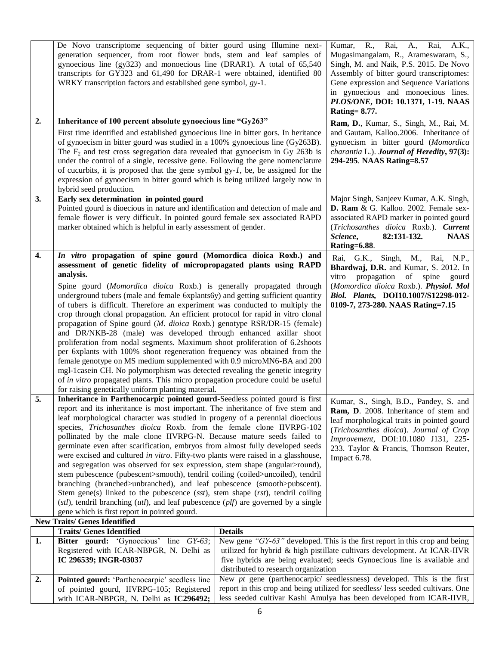|    | De Novo transcriptome sequencing of bitter gourd using Illumine next-<br>generation sequencer, from root flower buds, stem and leaf samples of<br>gynoecious line (gy323) and monoecious line (DRAR1). A total of 65,540<br>transcripts for GY323 and 61,490 for DRAR-1 were obtained, identified 80<br>WRKY transcription factors and established gene symbol, gy-1.                                                                                                                                                                                                                                                                                                                                                                                                                                                                                                                                                                                                                                                                                                                                  |                                                                                                                                                                                                      | Kumar, R., Rai, A., Rai,<br>A.K.,<br>Mugasimangalam, R., Arameswaram, S.,<br>Singh, M. and Naik, P.S. 2015. De Novo<br>Assembly of bitter gourd transcriptomes:<br>Gene expression and Sequence Variations<br>in gynoecious and monoecious lines.<br>PLOS/ONE, DOI: 10.1371, 1-19. NAAS<br><b>Rating=8.77.</b> |
|----|--------------------------------------------------------------------------------------------------------------------------------------------------------------------------------------------------------------------------------------------------------------------------------------------------------------------------------------------------------------------------------------------------------------------------------------------------------------------------------------------------------------------------------------------------------------------------------------------------------------------------------------------------------------------------------------------------------------------------------------------------------------------------------------------------------------------------------------------------------------------------------------------------------------------------------------------------------------------------------------------------------------------------------------------------------------------------------------------------------|------------------------------------------------------------------------------------------------------------------------------------------------------------------------------------------------------|----------------------------------------------------------------------------------------------------------------------------------------------------------------------------------------------------------------------------------------------------------------------------------------------------------------|
| 2. | Inheritance of 100 percent absolute gynoecious line "Gy263"<br>First time identified and established gynoecious line in bitter gors. In heritance<br>of gynoecism in bitter gourd was studied in a 100% gynoecious line (Gy263B).<br>The $F_2$ and test cross segregation data revealed that gynoecism in Gy 263b is<br>under the control of a single, recessive gene. Following the gene nomenclature<br>of cucurbits, it is proposed that the gene symbol $gy-1$ , be, be assigned for the<br>expression of gynoecism in bitter gourd which is being utilized largely now in<br>hybrid seed production.                                                                                                                                                                                                                                                                                                                                                                                                                                                                                              | Ram, D., Kumar, S., Singh, M., Rai, M.<br>and Gautam, Kalloo.2006. Inheritance of<br>gynoecism in bitter gourd (Momordica<br>charantia L.). Journal of Heredity, 97(3):<br>294-295. NAAS Rating=8.57 |                                                                                                                                                                                                                                                                                                                |
| 3. | Early sex determination in pointed gourd<br>Pointed gourd is dioecious in nature and identification and detection of male and<br>female flower is very difficult. In pointed gourd female sex associated RAPD<br>marker obtained which is helpful in early assessment of gender.                                                                                                                                                                                                                                                                                                                                                                                                                                                                                                                                                                                                                                                                                                                                                                                                                       |                                                                                                                                                                                                      | Major Singh, Sanjeev Kumar, A.K. Singh,<br>D. Ram & G. Kalloo. 2002. Female sex-<br>associated RAPD marker in pointed gourd<br>(Trichosanthes dioica Roxb.). Current<br>Science,<br>82:131-132.<br><b>NAAS</b><br>Rating=6.88.                                                                                 |
| 4. | In vitro propagation of spine gourd (Momordica dioica Roxb.) and<br>assessment of genetic fidelity of micropropagated plants using RAPD<br>analysis.<br>Spine gourd (Momordica dioica Roxb.) is generally propagated through<br>underground tubers (male and female 6xplants6y) and getting sufficient quantity<br>of tubers is difficult. Therefore an experiment was conducted to multiply the<br>crop through clonal propagation. An efficient protocol for rapid in vitro clonal<br>propagation of Spine gourd (M. dioica Roxb.) genotype RSR/DR-15 (female)<br>and DR/NKB-28 (male) was developed through enhanced axillar shoot<br>proliferation from nodal segments. Maximum shoot proliferation of 6.2shoots<br>per 6xplants with 100% shoot regeneration frequency was obtained from the<br>female genotype on MS medium supplemented with 0.9 microMN6-BA and 200<br>mgl-1 case in CH. No polymorphism was detected revealing the genetic integrity<br>of in vitro propagated plants. This micro propagation procedure could be useful<br>for raising genetically uniform planting material. |                                                                                                                                                                                                      | Rai, G.K., Singh, M., Rai, N.P.,<br>Bhardwaj, D.R. and Kumar, S. 2012. In<br>propagation<br>vitro<br>of spine<br>gourd<br>(Momordica dioica Roxb.). Physiol. Mol<br>Biol. Plants, DOI10.1007/S12298-012-<br>0109-7, 273-280. NAAS Rating=7.15                                                                  |
| 5. | Inheritance in Parthenocarpic pointed gourd-Seedless pointed gourd is first<br>report and its inheritance is most important. The inheritance of five stem and<br>leaf morphological character was studied in progeny of a perennial dioecious<br>species, Trichosanthes dioica Roxb. from the female clone IIVRPG-102<br>pollinated by the male clone IIVRPG-N. Because mature seeds failed to<br>germinate even after scarification, embryos from almost fully developed seeds<br>were excised and cultured in vitro. Fifty-two plants were raised in a glasshouse,<br>and segregation was observed for sex expression, stem shape (angular>round),<br>stem pubescence (pubescent>smooth), tendril coiling (coiled>uncoiled), tendril<br>branching (branched>unbranched), and leaf pubescence (smooth>pubscent).<br>Stem gene(s) linked to the pubescence (sst), stem shape (rst), tendril coiling<br>$(stl)$ , tendril branching $(utl)$ , and leaf pubescence $(plf)$ are governed by a single<br>gene which is first report in pointed gourd.                                                      |                                                                                                                                                                                                      | Kumar, S., Singh, B.D., Pandey, S. and<br>Ram, D. 2008. Inheritance of stem and<br>leaf morphological traits in pointed gourd<br>(Trichosanthes dioica). Journal of Crop<br>Improvement, DOI:10.1080 J131, 225-<br>233. Taylor & Francis, Thomson Reuter,<br>Impact 6.78.                                      |
|    | <b>New Traits/ Genes Identified</b>                                                                                                                                                                                                                                                                                                                                                                                                                                                                                                                                                                                                                                                                                                                                                                                                                                                                                                                                                                                                                                                                    |                                                                                                                                                                                                      |                                                                                                                                                                                                                                                                                                                |
| 1. | <b>Traits/ Genes Identified</b><br><b>Bitter gourd:</b> 'Gynoecious' line $\overline{GY\text{-}63}$ ;<br>Registered with ICAR-NBPGR, N. Delhi as<br>IC 296539; INGR-03037                                                                                                                                                                                                                                                                                                                                                                                                                                                                                                                                                                                                                                                                                                                                                                                                                                                                                                                              | <b>Details</b>                                                                                                                                                                                       | New gene " $GY-63$ " developed. This is the first report in this crop and being<br>utilized for hybrid & high pistillate cultivars development. At ICAR-IIVR<br>five hybrids are being evaluated; seeds Gynoecious line is available and                                                                       |
| 2. | Pointed gourd: 'Parthenocarpic' seedless line<br>of pointed gourd, IIVRPG-105; Registered                                                                                                                                                                                                                                                                                                                                                                                                                                                                                                                                                                                                                                                                                                                                                                                                                                                                                                                                                                                                              | distributed to research organization                                                                                                                                                                 | New pt gene (parthenocarpic/ seedlessness) developed. This is the first<br>report in this crop and being utilized for seedless/less seeded cultivars. One                                                                                                                                                      |

less seeded cultivar Kashi Amulya has been developed from ICAR-IIVR,

with ICAR-NBPGR, N. Delhi as **IC296492;**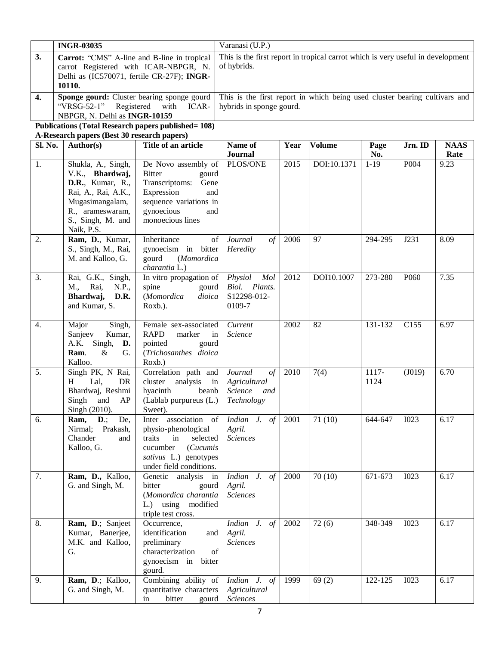|         | <b>INGR-03035</b>                           |                                                                                                                                 | Varanasi (U.P.)                                                                 |      |               |          |                  |             |  |  |
|---------|---------------------------------------------|---------------------------------------------------------------------------------------------------------------------------------|---------------------------------------------------------------------------------|------|---------------|----------|------------------|-------------|--|--|
|         |                                             |                                                                                                                                 |                                                                                 |      |               |          |                  |             |  |  |
| 3.      | Carrot: "CMS" A-line and B-line in tropical |                                                                                                                                 | This is the first report in tropical carrot which is very useful in development |      |               |          |                  |             |  |  |
|         | carrot Registered with ICAR-NBPGR, N.       |                                                                                                                                 | of hybrids.                                                                     |      |               |          |                  |             |  |  |
|         |                                             | Delhi as (IC570071, fertile CR-27F); INGR-                                                                                      |                                                                                 |      |               |          |                  |             |  |  |
|         | 10110.                                      |                                                                                                                                 |                                                                                 |      |               |          |                  |             |  |  |
| 4.      |                                             | <b>Sponge gourd:</b> Cluster bearing sponge gourd<br>This is the first report in which being used cluster bearing cultivars and |                                                                                 |      |               |          |                  |             |  |  |
|         | "VRSG-52-1"                                 | Registered with<br>ICAR-                                                                                                        | hybrids in sponge gourd.                                                        |      |               |          |                  |             |  |  |
|         | NBPGR, N. Delhi as <b>INGR-10159</b>        |                                                                                                                                 |                                                                                 |      |               |          |                  |             |  |  |
|         |                                             | Publications (Total Research papers published= 108)                                                                             |                                                                                 |      |               |          |                  |             |  |  |
|         | A-Research papers (Best 30 research papers) |                                                                                                                                 |                                                                                 |      |               |          |                  |             |  |  |
| Sl. No. | <b>Author(s)</b>                            | Title of an article                                                                                                             | Name of                                                                         | Year | <b>Volume</b> | Page     | Jrn. ID          | <b>NAAS</b> |  |  |
|         |                                             |                                                                                                                                 | Journal                                                                         |      |               | No.      |                  | Rate        |  |  |
|         | Shukla, A., Singh,                          | De Novo assembly of                                                                                                             | PLOS/ONE                                                                        | 2015 | DOI:10.1371   | $1 - 19$ | P <sub>004</sub> | 9.23        |  |  |

|    |                                                                                                                                                                    |                                                                                                                                                                 | <u>ovul liul</u>                                                      |      |             | 1100            |                  | $\cdots$ |
|----|--------------------------------------------------------------------------------------------------------------------------------------------------------------------|-----------------------------------------------------------------------------------------------------------------------------------------------------------------|-----------------------------------------------------------------------|------|-------------|-----------------|------------------|----------|
| 1. | Shukla, A., Singh,<br>V.K., Bhardwaj,<br><b>D.R.</b> , Kumar, R.,<br>Rai, A., Rai, A.K.,<br>Mugasimangalam,<br>R., arameswaram,<br>S., Singh, M. and<br>Naik, P.S. | De Novo assembly of<br><b>Bitter</b><br>gourd<br>Transcriptoms:<br>Gene<br>Expression<br>and<br>sequence variations in<br>gynoecious<br>and<br>monoecious lines | PLOS/ONE                                                              | 2015 | DOI:10.1371 | $1 - 19$        | P004             | 9.23     |
| 2. | Ram, D., Kumar,<br>S., Singh, M., Rai,<br>M. and Kalloo, G.                                                                                                        | Inheritance<br>of<br>gynoecism in bitter<br>gourd<br>(Momordica<br>charantia L.)                                                                                | $of$<br>Journal<br>Heredity                                           | 2006 | 97          | 294-295         | J231             | 8.09     |
| 3. | Rai, G.K., Singh,<br>M., Rai,<br>N.P.,<br>Bhardwaj,<br>D.R.<br>and Kumar, S.                                                                                       | In vitro propagation of<br>spine<br>gourd<br>(Momordica<br>dioica<br>Roxb.).                                                                                    | Physiol<br>Mol<br>Biol. Plants.<br>S12298-012-<br>0109-7              | 2012 | DOI10.1007  | 273-280         | P <sub>060</sub> | 7.35     |
| 4. | Singh,<br>Major<br>Sanjeev<br>Kumar,<br>Singh,<br>A.K.<br>D.<br>$\&$<br>Ram.<br>G.<br>Kalloo.                                                                      | Female sex-associated<br><b>RAPD</b><br>marker<br>in<br>pointed<br>gourd<br>(Trichosanthes dioica<br>Roxb.)                                                     | Current<br>Science                                                    | 2002 | 82          | 131-132         | C155             | 6.97     |
| 5. | Singh PK, N Rai,<br>Lal,<br>DR<br>H<br>Bhardwaj, Reshmi<br>Singh and<br>AP<br>Singh (2010).                                                                        | Correlation path and<br>analysis<br>cluster<br>in<br>hyacinth<br>beanb<br>(Lablab purpureus (L.)<br>Sweet).                                                     | Journal<br>$\sigma f$<br>Agricultural<br>Science<br>and<br>Technology | 2010 | 7(4)        | $1117-$<br>1124 | (J019)           | 6.70     |
| 6. | $\mathbf{D}$ .;<br>De,<br>Ram,<br>Nirmal; Prakash,<br>Chander<br>and<br>Kalloo, G.                                                                                 | Inter association of<br>physio-phenological<br>traits<br>selected<br>in<br>cucumber<br>(Cucumis<br>sativus L.) genotypes<br>under field conditions.             | Indian J. of<br>Agril.<br><b>Sciences</b>                             | 2001 | 71(10)      | 644-647         | <b>I023</b>      | 6.17     |
| 7. | Ram, D., Kalloo,<br>G. and Singh, M.                                                                                                                               | Genetic analysis in<br>bitter<br>gourd<br>(Momordica charantia<br>L.<br>using<br>modified<br>triple test cross.                                                 | Indian J. of<br>Agril.<br><b>Sciences</b>                             | 2000 | 70(10)      | 671-673         | <b>I023</b>      | 6.17     |
| 8. | Ram, D.; Sanjeet<br>Kumar, Banerjee,<br>M.K. and Kalloo,<br>G.                                                                                                     | Occurrence,<br>identification<br>and<br>preliminary<br>characterization<br>of<br>gynoecism in<br>bitter<br>gourd.                                               | <i>Indian J. of</i> 2002<br>Agril.<br><b>Sciences</b>                 |      | 72(6)       | 348-349 1023    |                  | 6.17     |
| 9. | Ram, D.; Kalloo,<br>G. and Singh, M.                                                                                                                               | Combining ability of<br>quantitative characters<br>bitter<br>in<br>gourd                                                                                        | Indian J. of<br>Agricultural<br>Sciences                              | 1999 | 69(2)       | 122-125         | <b>I023</b>      | 6.17     |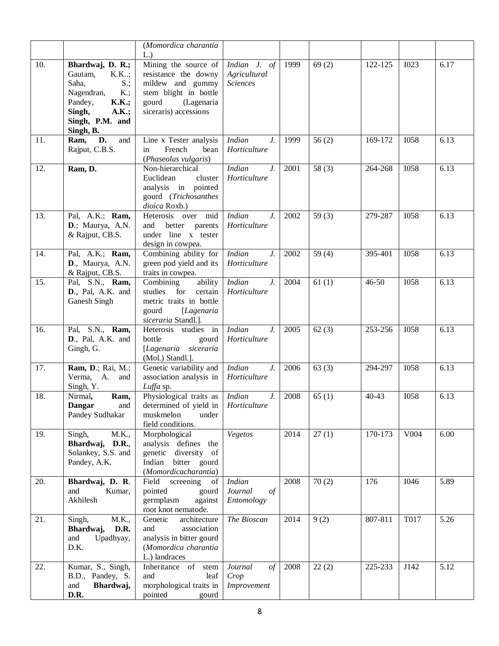|     |                                                                                                                                                              | (Momordica charantia                                                                                                                            |                                                      |      |                     |           |             |      |
|-----|--------------------------------------------------------------------------------------------------------------------------------------------------------------|-------------------------------------------------------------------------------------------------------------------------------------------------|------------------------------------------------------|------|---------------------|-----------|-------------|------|
| 10. | Bhardwaj, D. R.;<br>Gautam,<br>K.K;<br>Saha,<br>$S$ .;<br>Nagendran,<br>$K$ .;<br>Pandey,<br><b>K.K.;</b><br>Singh,<br>A.K.;<br>Singh, P.M. and<br>Singh, B. | L.<br>Mining the source of<br>resistance the downy<br>mildew and gummy<br>stem blight in bottle<br>gourd<br>(Lagenaria<br>siceraris) accessions | Indian J. of<br>Agricultural<br><b>Sciences</b>      | 1999 | 69(2)               | 122-125   | <b>I023</b> | 6.17 |
| 11. | D.<br>Ram,<br>and<br>Rajput, C.B.S.                                                                                                                          | Line x Tester analysis<br>French<br>in<br>bean<br>(Phaseolus vulgaris)                                                                          | $J_{\cdot}$<br><b>Indian</b><br>Horticulture         | 1999 | 56(2)               | 169-172   | <b>I058</b> | 6.13 |
| 12. | Ram, D.                                                                                                                                                      | Non-hierarchical<br>Euclidean<br>cluster<br>analysis in pointed<br>gourd (Trichosanthes<br>dioica Roxb.)                                        | <b>Indian</b><br>J.<br>Horticulture                  | 2001 | $\overline{58}$ (3) | 264-268   | <b>I058</b> | 6.13 |
| 13. | Pal, A.K.; Ram,<br>D.; Maurya, A.N.<br>& Rajput, CB.S.                                                                                                       | Heterosis over mid<br>and<br>better parents<br>under line x tester<br>design in cowpea.                                                         | <b>Indian</b><br>J.<br>Horticulture                  | 2002 | 59 $(3)$            | 279-287   | <b>I058</b> | 6.13 |
| 14. | Pal, A.K.; Ram,<br>D., Maurya, A.N.<br>& Rajput, CB.S.                                                                                                       | Combining ability for<br>green pod yield and its<br>traits in cowpea.                                                                           | <b>Indian</b><br>$J_{\cdot}$<br>Horticulture         | 2002 | 59 $(4)$            | 395-401   | <b>I058</b> | 6.13 |
| 15. | Pal, S.N., Ram,<br>D., Pal, A.K. and<br>Ganesh Singh                                                                                                         | ability<br>Combining<br>certain<br>studies<br>for<br>metric traits in bottle<br>gourd<br>[Lagenaria<br>siceraria Standl.].                      | <b>Indian</b><br>$J_{\cdot}$<br>Horticulture         | 2004 | 61(1)               | 46-50     | <b>I058</b> | 6.13 |
| 16. | Pal, S.N., Ram,<br>D., Pal, A.K. and<br>Gingh, G.                                                                                                            | Heterosis studies in<br>bottle<br>gourd<br>[Lagenaria siceraria<br>(Mol.) Standl.].                                                             | <b>Indian</b><br>J.<br>Horticulture                  | 2005 | 62(3)               | 253-256   | <b>I058</b> | 6.13 |
| 17. | Ram, D.; Rai, M.;<br>Verma, A.<br>and<br>Singh, Y.                                                                                                           | Genetic variability and<br>association analysis in<br>Luffa sp.                                                                                 | <b>Indian</b><br>J.<br>Horticulture                  | 2006 | 63(3)               | 294-297   | <b>I058</b> | 6.13 |
| 18. | Ram,<br>Nirmal,<br><b>Dangar</b><br>and<br>Pandey Sudhakar                                                                                                   | Physiological traits as<br>determined of yield in   Horticulture<br>muskmelon<br>under<br>field conditions.                                     | <b>Indian</b><br>J.                                  | 2008 | 65(1)               | $40 - 43$ | <b>I058</b> | 6.13 |
| 19. | Singh,<br>M.K.,<br>Bhardwaj, D.R.,<br>Solankey, S.S. and<br>Pandey, A.K.                                                                                     | Morphological<br>analysis defines the<br>genetic diversity of<br>Indian<br>bitter gourd<br>(Momordicacharantia)                                 | Vegetos                                              | 2014 | $\overline{27(1)}$  | 170-173   | V004        | 6.00 |
| 20. | Bhardwaj, D. R.<br>and<br>Kumar,<br>Akhilesh                                                                                                                 | Field<br>screening<br>of<br>pointed<br>gourd<br>germplasm<br>against<br>root knot nematode.                                                     | <b>Indian</b><br>Journal<br>$\sigma f$<br>Entomology | 2008 | 70(2)               | 176       | <b>I046</b> | 5.89 |
| 21. | M.K.,<br>Singh,<br>Bhardwaj,<br>D.R.<br>Upadhyay,<br>and<br>D.K.                                                                                             | Genetic<br>architecture<br>and<br>association<br>analysis in bitter gourd<br>(Momordica charantia<br>L.) landraces                              | The Bioscan                                          | 2014 | 9(2)                | 807-811   | <b>T017</b> | 5.26 |
| 22. | Kumar, S., Singh,<br>B.D., Pandey, S.<br>Bhardwaj,<br>and<br>D.R.                                                                                            | Inheritance of stem<br>and<br>leaf<br>morphological traits in<br>pointed<br>gourd                                                               | Journal<br>$\sigma f$<br>Crop<br>Improvement         | 2008 | 22(2)               | 225-233   | J142        | 5.12 |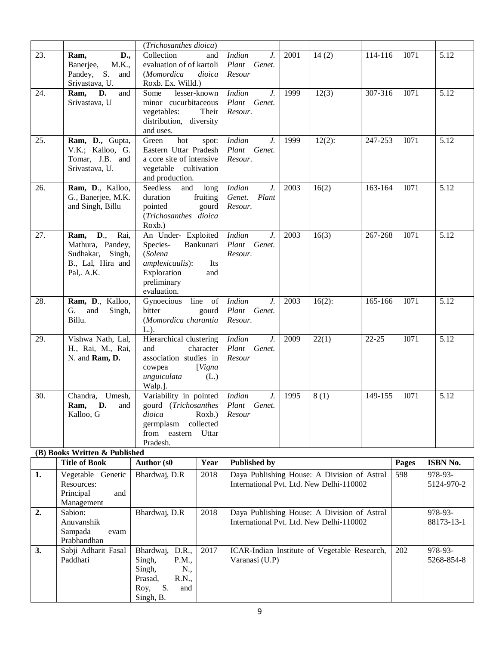|     |                                                                                                                                  | (Trichosanthes dioica)                                                                                                  |                              |                                                            |      |                                                                                         |                       |              |                                   |
|-----|----------------------------------------------------------------------------------------------------------------------------------|-------------------------------------------------------------------------------------------------------------------------|------------------------------|------------------------------------------------------------|------|-----------------------------------------------------------------------------------------|-----------------------|--------------|-----------------------------------|
| 23. | D.,<br>Ram,<br>Banerjee,<br>M.K.,<br>Pandey, S.<br>and<br>Srivastava, U.                                                         | Collection<br>evaluation of of kartoli<br>(Momordica<br>Roxb. Ex. Willd.)                                               | and<br>dioica                | <b>Indian</b><br>J.<br>Plant Genet.<br>Resour              | 2001 | 14(2)                                                                                   | 114-116               | <b>I071</b>  | 5.12                              |
| 24. | D.<br>Ram,<br>and<br>Srivastava, U                                                                                               | lesser-known<br>Some<br>minor cucurbitaceous<br>vegetables:<br>distribution, diversity<br>and uses.                     | Their                        | <b>Indian</b><br>$J_{\cdot}$<br>Plant Genet.<br>Resour.    | 1999 | 12(3)                                                                                   | 307-316               | I071         | 5.12                              |
| 25. | Ram, D., Gupta,<br>V.K.; Kalloo, G.<br>Tomar, J.B. and<br>Srivastava, U.                                                         | Green<br>hot<br>Eastern Uttar Pradesh<br>a core site of intensive<br>vegetable cultivation<br>and production.           | spot:                        | $J_{\cdot}$<br><b>Indian</b><br>Plant Genet.<br>Resour.    | 1999 | $12(2)$ :                                                                               | $\overline{2}$ 47-253 | <b>I071</b>  | 5.12                              |
| 26. | Ram, D., Kalloo,<br>G., Banerjee, M.K.<br>and Singh, Billu                                                                       | Seedless<br>and<br>duration<br>pointed<br>(Trichosanthes dioica<br>Roxb.)                                               | long<br>fruiting<br>gourd    | <b>Indian</b><br>$J_{\cdot}$<br>Plant<br>Genet.<br>Resour. | 2003 | 16(2)                                                                                   | 163-164               | <b>I071</b>  | 5.12                              |
| 27. | $\overline{\mathbf{D}_{\cdot,\cdot}}$<br>Rai,<br>Ram,<br>Mathura, Pandey,<br>Sudhakar, Singh,<br>B., Lal, Hira and<br>Pal,. A.K. | An Under- Exploited<br>Species-<br>(Solena<br>amplexicaulis):<br>Exploration<br>preliminary<br>evaluation.              | Bankunari<br>Its<br>and      | <b>Indian</b><br>$J_{\cdot}$<br>Plant Genet.<br>Resour.    | 2003 | 16(3)                                                                                   | 267-268               | I071         | 5.12                              |
| 28. | Ram, D., Kalloo,<br>G. and<br>Singh,<br>Billu.                                                                                   | Gynoecious<br>bitter<br>(Momordica charantia<br>$L.$ ).                                                                 | line of<br>gourd             | <b>Indian</b><br>$J_{\cdot}$<br>Plant Genet.<br>Resour.    | 2003 | $16(2)$ :                                                                               | 165-166               | <b>I071</b>  | 5.12                              |
| 29. | Vishwa Nath, Lal,<br>H., Rai, M., Rai,<br>N. and Ram, D.                                                                         | Hierarchical clustering<br>and<br>association studies in<br>cowpea<br>unguiculata<br>Walp.].                            | character<br>[Vigna<br>(L.)  | <b>Indian</b><br>$J_{\cdot}$<br>Plant Genet.<br>Resour     | 2009 | 22(1)                                                                                   | $22 - 25$             | <b>I071</b>  | 5.12                              |
| 30. | Chandra, Umesh,<br>Ram, D. and<br>Kalloo, G                                                                                      | Variability in pointed   Indian<br>gourd (Trichosanthes Plant Genet.<br>dioica<br>germplasm<br>from eastern<br>Pradesh. | Roxb.)<br>collected<br>Uttar | $J_{\cdot}$<br>Resour                                      | 1995 | 8(1)                                                                                    | 149-155               | <b>I071</b>  | 5.12                              |
|     | (B) Books Written & Published                                                                                                    |                                                                                                                         |                              |                                                            |      |                                                                                         |                       |              |                                   |
| 1.  | <b>Title of Book</b><br>Vegetable Genetic<br>Resources:<br>Principal<br>and<br>Management                                        | Author (s0<br>Bhardwaj, D.R                                                                                             | Year<br>2018                 | <b>Published by</b>                                        |      | Daya Publishing House: A Division of Astral<br>International Pvt. Ltd. New Delhi-110002 |                       | Pages<br>598 | ISBN No.<br>978-93-<br>5124-970-2 |
| 2.  | Sabion:<br>Anuvanshik<br>Sampada<br>evam<br>Prabhandhan                                                                          | Bhardwaj, D.R                                                                                                           | 2018                         |                                                            |      | Daya Publishing House: A Division of Astral<br>International Pvt. Ltd. New Delhi-110002 |                       |              | 978-93-<br>88173-13-1             |
| 3.  | Sabji Adharit Fasal<br>Paddhati                                                                                                  | Bhardwaj, D.R.,<br>P.M.,<br>Singh,<br>Singh,<br>N.,<br>R.N.,<br>Prasad,<br>S.<br>Roy,<br>and<br>Singh, B.               | 2017                         | Varanasi (U.P)                                             |      | ICAR-Indian Institute of Vegetable Research,                                            |                       | 202          | 978-93-<br>5268-854-8             |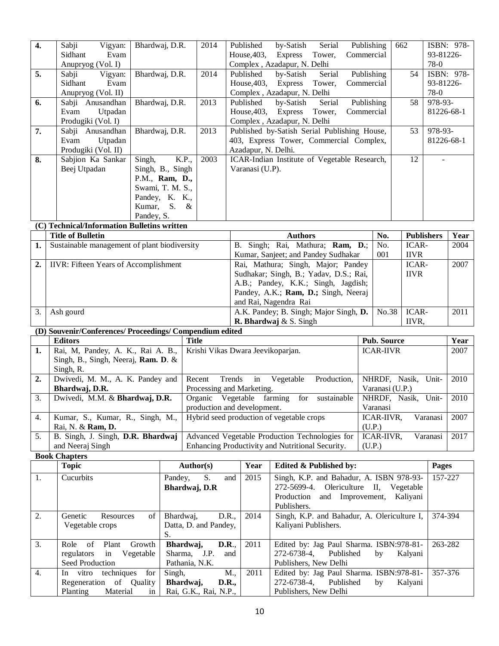| 1.             | (D) Souvenir/Conferences/ Proceedings/ Compendium edited<br><b>Editors</b><br>Rai, M, Pandey, A. K., Rai A. B.,<br>Singh, B., Singh, Neeraj, Ram. D. & |                                                                          | <b>Title</b> | Krishi Vikas Dwara Jeevikoparjan.                                                     | A.K. Pandey; B. Singh; Major Singh, D.<br>R. Bhardwaj & S. Singh                                                                                                                     |                                    | No.38<br>Pub. Source<br><b>ICAR-IIVR</b> | ICAR-<br>IIVR,       |                                         | 2011<br>Year<br>2007 |
|----------------|--------------------------------------------------------------------------------------------------------------------------------------------------------|--------------------------------------------------------------------------|--------------|---------------------------------------------------------------------------------------|--------------------------------------------------------------------------------------------------------------------------------------------------------------------------------------|------------------------------------|------------------------------------------|----------------------|-----------------------------------------|----------------------|
|                |                                                                                                                                                        |                                                                          |              |                                                                                       |                                                                                                                                                                                      |                                    |                                          |                      |                                         |                      |
|                |                                                                                                                                                        |                                                                          |              |                                                                                       |                                                                                                                                                                                      |                                    |                                          |                      |                                         |                      |
| 3.             | Ash gourd                                                                                                                                              |                                                                          |              |                                                                                       |                                                                                                                                                                                      |                                    |                                          |                      |                                         |                      |
| $\overline{2}$ | <b>IIVR:</b> Fifteen Years of Accomplishment                                                                                                           |                                                                          |              |                                                                                       | Rai, Mathura; Singh, Major; Pandey<br>Sudhakar; Singh, B.; Yadav, D.S.; Rai,<br>A.B.; Pandey, K.K.; Singh, Jagdish;<br>Pandey, A.K.; Ram, D.; Singh, Neeraj<br>and Rai, Nagendra Rai |                                    |                                          | ICAR-<br><b>IIVR</b> |                                         | 2007                 |
| 1.             | Sustainable management of plant biodiversity                                                                                                           |                                                                          |              | B. Singh; Rai, Mathura; Ram, D.;<br>No.<br>Kumar, Sanjeet; and Pandey Sudhakar<br>001 |                                                                                                                                                                                      |                                    |                                          | ICAR-<br><b>IIVR</b> |                                         | 2004                 |
|                | <b>Title of Bulletin</b>                                                                                                                               |                                                                          |              |                                                                                       | <b>Authors</b>                                                                                                                                                                       |                                    | No.                                      | <b>Publishers</b>    |                                         | Year                 |
|                | (C) Technical/Information Bulletins written                                                                                                            | $S. \&$<br>Kumar,<br>Pandey, S.                                          |              |                                                                                       |                                                                                                                                                                                      |                                    |                                          |                      |                                         |                      |
|                | Beej Utpadan                                                                                                                                           | Singh, B., Singh<br>P.M., Ram, D.,<br>Swami, T. M. S.,<br>Pandey, K. K., |              | Varanasi (U.P).                                                                       |                                                                                                                                                                                      |                                    |                                          |                      |                                         |                      |
| 7.<br>8.       | Sabji Anusandhan<br>Evam<br>Utpadan<br>Produgiki (Vol. II)<br>Sabjion Ka Sankar                                                                        | Bhardwaj, D.R.<br>Singh,<br>K.P.,                                        | 2003         | Azadapur, N. Delhi.                                                                   | Published by-Satish Serial Publishing House,<br>403, Express Tower, Commercial Complex,<br>ICAR-Indian Institute of Vegetable Research,                                              |                                    |                                          | 53<br>12             | 978-93-<br>81226-68-1<br>$\overline{a}$ |                      |
| 6.             | Sabji Anusandhan<br>Evam<br>Utpadan<br>Produgiki (Vol. I)                                                                                              | Bhardwaj, D.R.                                                           | 2013<br>2013 | Published<br>House, 403,                                                              | by-Satish<br>Express<br>Tower,<br>Complex, Azadapur, N. Delhi                                                                                                                        | Serial<br>Publishing<br>Commercial |                                          | 58                   | 978-93-<br>81226-68-1                   |                      |
| 5.             | Vigyan:<br>Sabji<br>Sidhant<br>Evam<br>Anupryog (Vol. II)                                                                                              | Bhardwaj, D.R.                                                           | 2014         | Published<br>House, $403$ ,                                                           | by-Satish<br><b>Express</b><br>Tower,<br>Complex, Azadapur, N. Delhi                                                                                                                 | Serial<br>Publishing<br>Commercial |                                          | 54                   | 93-81226-<br>78-0                       | ISBN: 978-           |
|                | Sabji<br>Vigyan:<br>Sidhant<br>Evam<br>Anupryog (Vol. I)                                                                                               | Bhardwaj, D.R.                                                           | 2014         | Published<br>House, 403,                                                              | by-Satish<br>Express<br>Tower,<br>Complex, Azadapur, N. Delhi                                                                                                                        | Serial<br>Publishing<br>Commercial |                                          | 662                  | 93-81226-<br>78-0                       | ISBN: 978-           |

|                  | Topic                      | Author(s)                 | Year | Edited & Published by:                      | Pages   |
|------------------|----------------------------|---------------------------|------|---------------------------------------------|---------|
| 1.               | <b>Cucurbits</b>           | and  <br>Pandey,<br>S.    | 2015 | Singh, K.P. and Bahadur, A. ISBN 978-93-    | 157-227 |
|                  |                            | Bhardwaj, D.R             |      | 272-5699-4. Olericulture II, Vegetable      |         |
|                  |                            |                           |      | Production and Improvement, Kaliyani        |         |
|                  |                            |                           |      | Publishers.                                 |         |
| 2.               | of<br>Genetic<br>Resources | D.R.,<br>Bhardwai,        | 2014 | Singh, K.P. and Bahadur, A. Olericulture I, | 374-394 |
|                  | Vegetable crops            | Datta, D. and Pandey,     |      | Kaliyani Publishers.                        |         |
|                  |                            | S.                        |      |                                             |         |
| 3.               | Plant<br>Role of<br>Growth | D.R.,<br>Bhardwaj,        | 2011 | Edited by: Jag Paul Sharma. ISBN:978-81-    | 263-282 |
|                  | regulators in Vegetable    | Sharma, J.P.<br>and       |      | 272-6738-4, Published<br>Kalyani<br>by      |         |
|                  | Seed Production            | Pathania, N.K.            |      | Publishers, New Delhi                       |         |
| $\overline{4}$ . | In vitro techniques<br>for | Singh,<br>M.,             | 2011 | Edited by: Jag Paul Sharma. ISBN:978-81-    | 357-376 |
|                  | Regeneration of Quality    | Bhardwaj,<br><b>D.R.,</b> |      | 272-6738-4.<br>Published<br>Kalyani<br>by   |         |
|                  | Planting<br>Material<br>in | Rai, G.K., Rai, N.P.,     |      | Publishers, New Delhi                       |         |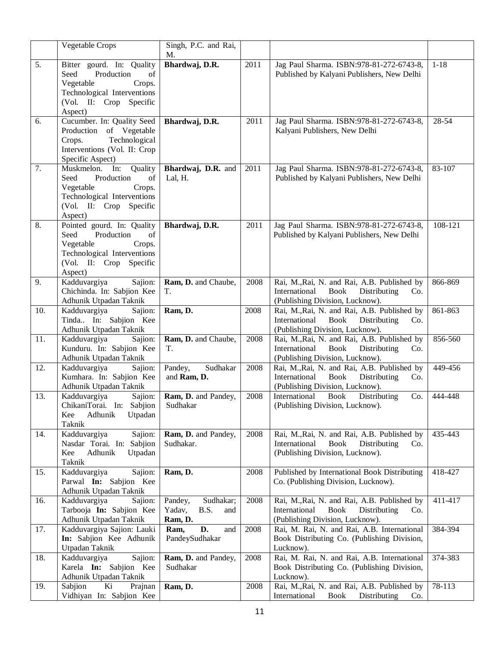|     | Vegetable Crops                                                                                                                                    | Singh, P.C. and Rai,<br>M.                               |      |                                                                                                                                       |          |
|-----|----------------------------------------------------------------------------------------------------------------------------------------------------|----------------------------------------------------------|------|---------------------------------------------------------------------------------------------------------------------------------------|----------|
| 5.  | Bitter gourd. In: Quality<br>Seed<br>Production<br>of<br>Vegetable<br>Crops.<br>Technological Interventions<br>(Vol. II: Crop Specific<br>Aspect)  | Bhardwaj, D.R.                                           | 2011 | Jag Paul Sharma. ISBN:978-81-272-6743-8,<br>Published by Kalyani Publishers, New Delhi                                                | $1 - 18$ |
| 6.  | Cucumber. In: Quality Seed<br>Production of Vegetable<br>Technological<br>Crops.<br>Interventions (Vol. II: Crop<br>Specific Aspect)               | Bhardwaj, D.R.                                           | 2011 | Jag Paul Sharma. ISBN:978-81-272-6743-8,<br>Kalyani Publishers, New Delhi                                                             | 28-54    |
| 7.  | Muskmelon. In:<br>Quality<br>Production<br>Seed<br>of<br>Vegetable<br>Crops.<br>Technological Interventions<br>(Vol. II: Crop Specific<br>Aspect)  | Bhardwaj, D.R. and<br>Lal, H.                            | 2011 | Jag Paul Sharma. ISBN:978-81-272-6743-8,<br>Published by Kalyani Publishers, New Delhi                                                | 83-107   |
| 8.  | Pointed gourd. In: Quality<br>Seed<br>Production<br>of<br>Vegetable<br>Crops.<br>Technological Interventions<br>(Vol. II: Crop Specific<br>Aspect) | Bhardwaj, D.R.                                           | 2011 | Jag Paul Sharma. ISBN:978-81-272-6743-8,<br>Published by Kalyani Publishers, New Delhi                                                | 108-121  |
| 9.  | Kadduvargiya<br>Sajion:<br>Chichinda. In: Sabjion Kee<br>Adhunik Utpadan Taknik                                                                    | Ram, D. and Chaube,<br>T.                                | 2008 | Rai, M., Rai, N. and Rai, A.B. Published by<br><b>Book</b><br>International<br>Distributing<br>Co.<br>(Publishing Division, Lucknow). | 866-869  |
| 10. | Kadduvargiya<br>Sajion:<br>Tinda In: Sabjion Kee<br>Adhunik Utpadan Taknik                                                                         | Ram, D.                                                  | 2008 | Rai, M., Rai, N. and Rai, A.B. Published by<br>International<br>Book<br>Distributing<br>Co.<br>(Publishing Division, Lucknow).        | 861-863  |
| 11. | Kadduvargiya<br>Sajion:<br>Kunduru. In: Sabjion Kee<br>Adhunik Utpadan Taknik                                                                      | Ram, D. and Chaube,<br>T.                                | 2008 | Rai, M., Rai, N. and Rai, A.B. Published by<br>International<br>Book<br>Distributing<br>Co.<br>(Publishing Division, Lucknow).        | 856-560  |
| 12. | Kadduvargiya<br>Sajion:<br>Kumhara. In: Sabjion Kee<br>Adhunik Utpadan Taknik                                                                      | Sudhakar<br>Pandey,<br>and Ram, D.                       | 2008 | Rai, M., Rai, N. and Rai, A.B. Published by<br>International<br>Book<br>Distributing<br>Co.<br>(Publishing Division, Lucknow).        | 449-456  |
| 13. | Kadduvargiya<br>Sajion:<br>ChikaniTorai. In: Sabjion<br>Kee<br>Adhunik<br>Utpadan<br>Taknik                                                        | Ram, D. and Pandey,<br>Sudhakar                          | 2008 | Book<br>International<br>Distributing<br>Co.<br>(Publishing Division, Lucknow).                                                       | 444-448  |
| 14. | Kadduvargiya<br>Sajion:<br>Nasdar Torai. In: Sabjion<br>Kee<br>Adhunik<br>Utpadan<br>Taknik                                                        | Ram, D. and Pandey,<br>Sudhakar.                         | 2008 | Rai, M., Rai, N. and Rai, A.B. Published by<br>International<br><b>Book</b><br>Distributing<br>Co.<br>(Publishing Division, Lucknow). | 435-443  |
| 15. | Kadduvargiya<br>Sajion:<br>Parwal In: Sabjion Kee<br>Adhunik Utpadan Taknik                                                                        | Ram, D.                                                  | 2008 | Published by International Book Distributing<br>Co. (Publishing Division, Lucknow).                                                   | 418-427  |
| 16. | Kadduvargiya<br>Sajion:<br>Tarbooja In: Sabjion Kee<br>Adhunik Utpadan Taknik                                                                      | Sudhakar;<br>Pandey,<br>Yadav,<br>B.S.<br>and<br>Ram, D. | 2008 | Rai, M., Rai, N. and Rai, A.B. Published by<br>International<br><b>Book</b><br>Distributing<br>Co.<br>(Publishing Division, Lucknow). | 411-417  |
| 17. | Kadduvargiya Sajion: Lauki<br>In: Sabjion Kee Adhunik<br>Utpadan Taknik                                                                            | D.<br>Ram,<br>and<br>PandeySudhakar                      | 2008 | Rai, M. Rai, N. and Rai, A.B. International<br>Book Distributing Co. (Publishing Division,<br>Lucknow).                               | 384-394  |
| 18. | Kadduvargiya<br>Sajion:<br>Karela In: Sabjion Kee<br>Adhunik Utpadan Taknik                                                                        | Ram, D. and Pandey,<br>Sudhakar                          | 2008 | Rai, M. Rai, N. and Rai, A.B. International<br>Book Distributing Co. (Publishing Division,<br>Lucknow).                               | 374-383  |
| 19. | Sabjion<br>Ki<br>Prajnan<br>Vidhiyan In: Sabjion Kee                                                                                               | Ram, D.                                                  | 2008 | Rai, M., Rai, N. and Rai, A.B. Published by<br>International<br><b>Book</b><br>Distributing<br>Co.                                    | 78-113   |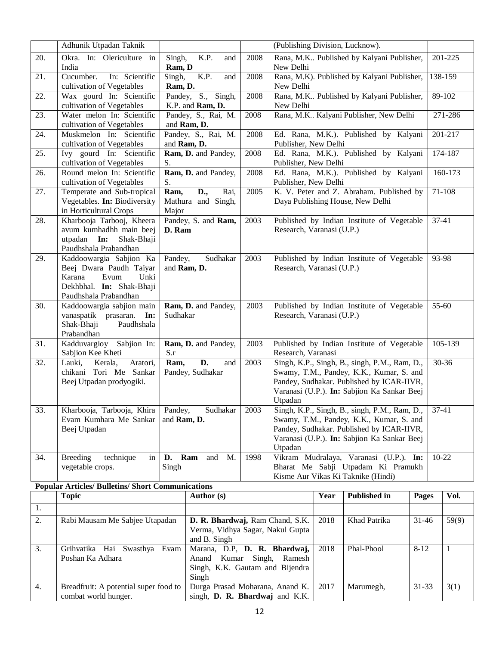|                                                          | Adhunik Utpadan Taknik                                                                                                            |                                                    |      | (Publishing Division, Lucknow).                                                                                                                                                                  |           |  |  |
|----------------------------------------------------------|-----------------------------------------------------------------------------------------------------------------------------------|----------------------------------------------------|------|--------------------------------------------------------------------------------------------------------------------------------------------------------------------------------------------------|-----------|--|--|
| 20.                                                      | Okra. In: Olericulture in<br>India                                                                                                | K.P.<br>Singh,<br>and<br>Ram, D                    | 2008 | Rana, M.K Published by Kalyani Publisher,<br>New Delhi                                                                                                                                           | 201-225   |  |  |
| 21.                                                      | In: Scientific<br>Cucumber.<br>cultivation of Vegetables                                                                          | $\overline{K.P.}$<br>Singh,<br>and<br>Ram, D.      | 2008 | Rana, M.K). Published by Kalyani Publisher,<br>New Delhi                                                                                                                                         | 138-159   |  |  |
| 22.                                                      | Wax gourd In: Scientific<br>cultivation of Vegetables                                                                             | Pandey, S., Singh,<br>K.P. and Ram, D.             | 2008 | Rana, M.K Published by Kalyani Publisher,<br>New Delhi                                                                                                                                           | 89-102    |  |  |
| 23.                                                      | Water melon In: Scientific<br>cultivation of Vegetables                                                                           | Pandey, S., Rai, M.<br>and Ram, D.                 | 2008 | Rana, M.K Kalyani Publisher, New Delhi                                                                                                                                                           | 271-286   |  |  |
| 24.                                                      | Muskmelon In: Scientific<br>cultivation of Vegetables                                                                             | Pandey, S., Rai, M.<br>and Ram, D.                 | 2008 | Ed. Rana, M.K.). Published by Kalyani<br>Publisher, New Delhi                                                                                                                                    | 201-217   |  |  |
| 25.                                                      | Ivy gourd In: Scientific<br>cultivation of Vegetables                                                                             | Ram, D. and Pandey,<br>S.                          | 2008 | Ed. Rana, M.K.). Published by Kalyani<br>Publisher, New Delhi                                                                                                                                    | 174-187   |  |  |
| 26.                                                      | Round melon In: Scientific<br>cultivation of Vegetables                                                                           | Ram, D. and Pandey,<br>S.                          | 2008 | Ed. Rana, M.K.). Published by Kalyani<br>Publisher, New Delhi                                                                                                                                    | 160-173   |  |  |
| 27.                                                      | Temperate and Sub-tropical<br>Vegetables. In: Biodiversity<br>in Horticultural Crops                                              | D.,<br>Rai,<br>Ram,<br>Mathura and Singh,<br>Major | 2005 | K. V. Peter and Z. Abraham. Published by<br>Daya Publishing House, New Delhi                                                                                                                     | 71-108    |  |  |
| 28.                                                      | Kharbooja Tarbooj, Kheera<br>avum kumhadhh main beej<br>Shak-Bhaji<br>utpadan In:<br>Paudhshala Prabandhan                        | Pandey, S. and Ram,<br>D. Ram                      | 2003 | Published by Indian Institute of Vegetable<br>Research, Varanasi (U.P.)                                                                                                                          | $37-41$   |  |  |
| 29.                                                      | Kaddoowargia Sabjion Ka<br>Beej Dwara Paudh Taiyar<br>Karana<br>Evum<br>Unki<br>Dekhbhal. In: Shak-Bhaji<br>Paudhshala Prabandhan | Pandey,<br>Sudhakar<br>and Ram, D.                 | 2003 | Published by Indian Institute of Vegetable<br>Research, Varanasi (U.P.)                                                                                                                          | 93-98     |  |  |
| 30.                                                      | Kaddoowargia sabjion main<br>vanaspatik prasaran.<br>In:<br>Shak-Bhaji<br>Paudhshala<br>Prabandhan                                | Ram, D. and Pandey,<br>Sudhakar                    | 2003 | Published by Indian Institute of Vegetable<br>Research, Varanasi (U.P.)                                                                                                                          | 55-60     |  |  |
| 31.                                                      | Kadduvargioy Sabjion In:<br>Sabjion Kee Kheti                                                                                     | Ram, D. and Pandey,<br>S.r                         | 2003 | Published by Indian Institute of Vegetable<br>Research, Varanasi                                                                                                                                 | 105-139   |  |  |
| 32.                                                      | Aratori,<br>Lauki,<br>Kerala,<br>chikani Tori Me Sankar<br>Beej Utpadan prodyogiki.                                               | D.<br>Ram,<br>and<br>Pandey, Sudhakar              | 2003 | Singh, K.P., Singh, B., singh, P.M., Ram, D.,<br>Swamy, T.M., Pandey, K.K., Kumar, S. and<br>Pandey, Sudhakar. Published by ICAR-IIVR,<br>Varanasi (U.P.). In: Sabjion Ka Sankar Beej<br>Utpadan | 30-36     |  |  |
| 33.                                                      | Kharbooja, Tarbooja, Khira<br>Evam Kumhara Me Sankar<br>Beej Utpadan                                                              | Pandey,<br>Sudhakar<br>and Ram, D.                 | 2003 | Singh, K.P., Singh, B., singh, P.M., Ram, D.,<br>Swamy, T.M., Pandey, K.K., Kumar, S. and<br>Pandey, Sudhakar. Published by ICAR-IIVR,<br>Varanasi (U.P.). In: Sabjion Ka Sankar Beej<br>Utpadan | $37 - 41$ |  |  |
| 34.                                                      | <b>Breeding</b><br>technique<br>in<br>vegetable crops.                                                                            | Ram<br>and<br>M.<br>D.<br>Singh                    | 1998 | Vikram Mudralaya, Varanasi (U.P.). In:<br>Bharat Me Sabji Utpadam Ki Pramukh<br>Kisme Aur Vikas Ki Taknike (Hindi)                                                                               | $10 - 22$ |  |  |
| <b>Popular Articles/ Bulletins/ Short Communications</b> |                                                                                                                                   |                                                    |      |                                                                                                                                                                                                  |           |  |  |

|    | <b>Topic</b>                          | <b>Author</b> (s)                | Year | <b>Published in</b> | <b>Pages</b> | Vol.  |
|----|---------------------------------------|----------------------------------|------|---------------------|--------------|-------|
| 1. |                                       |                                  |      |                     |              |       |
| 2. | Rabi Mausam Me Sabjee Utapadan        | D. R. Bhardwaj, Ram Chand, S.K.  | 2018 | Khad Patrika        | $31 - 46$    | 59(9) |
|    |                                       | Verma, Vidhya Sagar, Nakul Gupta |      |                     |              |       |
|    |                                       | and B. Singh                     |      |                     |              |       |
| 3. | Grihvatika Hai Swasthya Evam          | Marana, D.P, D. R. Bhardwaj,     | 2018 | Phal-Phool          | $8 - 12$     |       |
|    | Poshan Ka Adhara                      | Anand Kumar Singh,<br>Ramesh     |      |                     |              |       |
|    |                                       | Singh, K.K. Gautam and Bijendra  |      |                     |              |       |
|    |                                       | Singh                            |      |                     |              |       |
| 4. | Breadfruit: A potential super food to | Durga Prasad Moharana, Anand K.  | 2017 | Marumegh,           | $31 - 33$    | 3(1)  |
|    | combat world hunger.                  | singh, D. R. Bhardwaj and K.K.   |      |                     |              |       |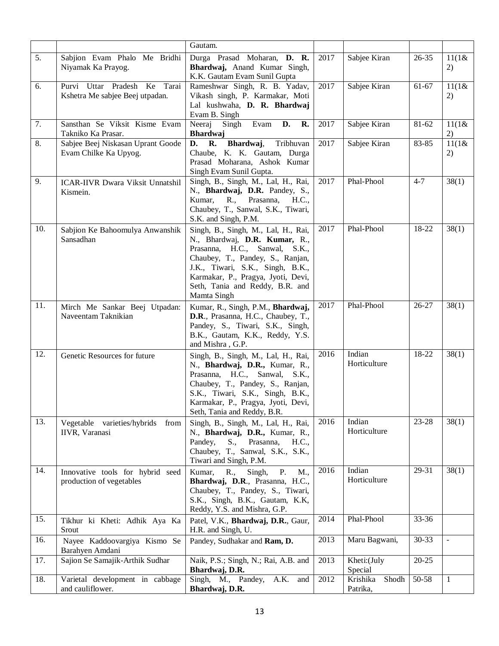|                  |                                                                    | Gautam.                                                                                                                                                                                                                                                               |      |                               |           |                          |
|------------------|--------------------------------------------------------------------|-----------------------------------------------------------------------------------------------------------------------------------------------------------------------------------------------------------------------------------------------------------------------|------|-------------------------------|-----------|--------------------------|
| $\overline{5}$ . | Sabjion Evam Phalo Me Bridhi<br>Niyamak Ka Prayog.                 | Durga Prasad Moharan, D. R.<br>Bhardwaj, Anand Kumar Singh,<br>K.K. Gautam Evam Sunil Gupta                                                                                                                                                                           | 2017 | Sabjee Kiran                  | $26 - 35$ | 11(1&<br>2)              |
| 6.               | Tarai<br>Purvi Uttar Pradesh Ke<br>Kshetra Me sabjee Beej utpadan. | Rameshwar Singh, R. B. Yadav,<br>Vikash singh, P. Karmakar, Moti<br>Lal kushwaha, D. R. Bhardwaj<br>Evam B. Singh                                                                                                                                                     | 2017 | Sabjee Kiran                  | 61-67     | 11(1&&<br>2)             |
| 7.               | Sansthan Se Viksit Kisme Evam<br>Takniko Ka Prasar.                | Neeraj<br>Singh<br>Evam <b>D.</b><br>R.<br><b>Bhardwaj</b>                                                                                                                                                                                                            | 2017 | Sabjee Kiran                  | $81 - 62$ | 11(1&&<br>2)             |
| 8.               | Sabjee Beej Niskasan Uprant Goode<br>Evam Chilke Ka Upyog.         | Bhardwaj,<br>D. R.<br>Tribhuvan<br>Chaube, K. K. Gautam, Durga<br>Prasad Moharana, Ashok Kumar<br>Singh Evam Sunil Gupta.                                                                                                                                             | 2017 | Sabjee Kiran                  | 83-85     | 11(1&&<br>2)             |
| 9.               | <b>ICAR-IIVR Dwara Viksit Unnatshil</b><br>Kismein.                | Singh, B., Singh, M., Lal, H., Rai,<br>N., Bhardwaj, D.R. Pandey, S.,<br>Kumar, R., Prasanna,<br>H.C.,<br>Chaubey, T., Sanwal, S.K., Tiwari,<br>S.K. and Singh, P.M.                                                                                                  | 2017 | Phal-Phool                    | $4 - 7$   | 38(1)                    |
| 10.              | Sabjion Ke Bahoomulya Anwanshik<br>Sansadhan                       | Singh, B., Singh, M., Lal, H., Rai,<br>N., Bhardwaj, D.R. Kumar, R.,<br>Prasanna, H.C., Sanwal, S.K.,<br>Chaubey, T., Pandey, S., Ranjan,<br>J.K., Tiwari, S.K., Singh, B.K.,<br>Karmakar, P., Pragya, Jyoti, Devi,<br>Seth, Tania and Reddy, B.R. and<br>Mamta Singh | 2017 | Phal-Phool                    | 18-22     | 38(1)                    |
| 11.              | Mirch Me Sankar Beej Utpadan:<br>Naveentam Taknikian               | Kumar, R., Singh, P.M., Bhardwaj,<br>D.R., Prasanna, H.C., Chaubey, T.,<br>Pandey, S., Tiwari, S.K., Singh,<br>B.K., Gautam, K.K., Reddy, Y.S.<br>and Mishra, G.P.                                                                                                    | 2017 | Phal-Phool                    | $26 - 27$ | 38(1)                    |
| 12.              | Genetic Resources for future                                       | Singh, B., Singh, M., Lal, H., Rai,<br>N., Bhardwaj, D.R., Kumar, R.,<br>Prasanna, H.C., Sanwal,<br>S.K.,<br>Chaubey, T., Pandey, S., Ranjan,<br>S.K., Tiwari, S.K., Singh, B.K.,<br>Karmakar, P., Pragya, Jyoti, Devi,<br>Seth, Tania and Reddy, B.R.                | 2016 | Indian<br>Horticulture        | 18-22     | 38(1)                    |
| 13.              | Vegetable varieties/hybrids<br>from<br>IIVR, Varanasi              | Singh, B., Singh, M., Lal, H., Rai,<br>N., Bhardwaj, D.R., Kumar, R.,<br>Prasanna,<br>Pandey,<br>S.,<br>H.C.,<br>Chaubey, T., Sanwal, S.K., S.K.,<br>Tiwari and Singh, P.M.                                                                                           | 2016 | Indian<br>Horticulture        | 23-28     | 38(1)                    |
| 14.              | Innovative tools for hybrid seed<br>production of vegetables       | Singh,<br>R.,<br>P.<br>Kumar,<br>M.,<br>Bhardwaj, D.R., Prasanna, H.C.,<br>Chaubey, T., Pandey, S., Tiwari,<br>S.K., Singh, B.K., Gautam, K.K.<br>Reddy, Y.S. and Mishra, G.P.                                                                                        | 2016 | Indian<br>Horticulture        | 29-31     | 38(1)                    |
| 15.              | Tikhur ki Kheti: Adhik Aya Ka<br>Srout                             | Patel, V.K., Bhardwaj, D.R., Gaur,<br>H.R. and Singh, U.                                                                                                                                                                                                              | 2014 | Phal-Phool                    | 33-36     |                          |
| 16.              | Nayee Kaddoovargiya Kismo Se<br>Barahyen Amdani                    | Pandey, Sudhakar and Ram, D.                                                                                                                                                                                                                                          | 2013 | Maru Bagwani,                 | $30 - 33$ | $\overline{\phantom{a}}$ |
| 17.              | Sajion Se Samajik-Arthik Sudhar                                    | Naik, P.S.; Singh, N.; Rai, A.B. and<br>Bhardwaj, D.R.                                                                                                                                                                                                                | 2013 | Kheti:(July<br>Special        | $20 - 25$ |                          |
| 18.              | Varietal development in cabbage<br>and cauliflower.                | Singh, M., Pandey, A.K. and<br>Bhardwaj, D.R.                                                                                                                                                                                                                         | 2012 | Krishika<br>Shodh<br>Patrika, | 50-58     | $\mathbf{1}$             |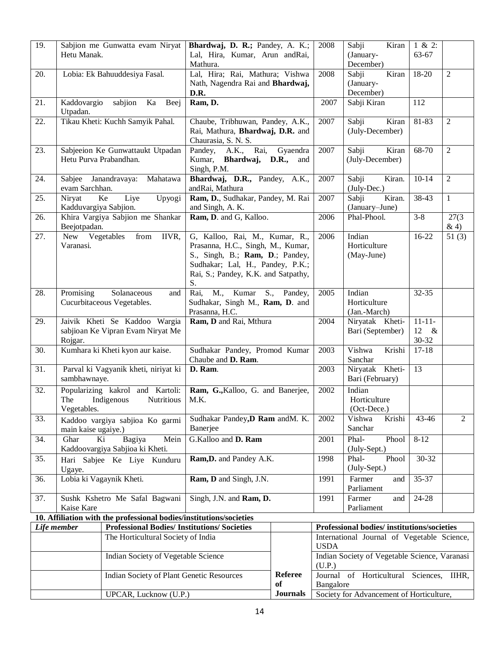| 19.                                                                 | Hetu Manak.                            | Sabjion me Gunwatta evam Niryat                                    | Bhardwaj, D. R.; Pandey, A. K.;<br>Lal, Hira, Kumar, Arun andRai,<br>Mathura.                                                                                                           |                                                         | 2008                                        | Sabji<br>Kiran<br>(January-<br>December)   | 1 & 2:<br>63-67                     |                |
|---------------------------------------------------------------------|----------------------------------------|--------------------------------------------------------------------|-----------------------------------------------------------------------------------------------------------------------------------------------------------------------------------------|---------------------------------------------------------|---------------------------------------------|--------------------------------------------|-------------------------------------|----------------|
| 20.                                                                 |                                        | Lobia: Ek Bahuuddesiya Fasal.                                      | Lal, Hira; Rai, Mathura; Vishwa<br>Nath, Nagendra Rai and Bhardwaj,<br>D.R.                                                                                                             |                                                         | 2008                                        | Kiran<br>Sabji<br>(January-<br>December)   | 18-20                               | $\overline{2}$ |
| 21.                                                                 | Kaddovargio<br>Utpadan.                | sabjion<br>Ka<br>Beej                                              | Ram, D.                                                                                                                                                                                 |                                                         | 2007                                        | Sabji Kiran                                | 112                                 |                |
| 22.                                                                 |                                        | Tikau Kheti: Kuchh Samyik Pahal.                                   | Chaube, Tribhuwan, Pandey, A.K.,<br>Rai, Mathura, Bhardwaj, D.R. and<br>Chaurasia, S. N. S.                                                                                             |                                                         | 2007                                        | Sabji<br>Kiran<br>(July-December)          | $81 - 83$                           | $\overline{2}$ |
| 23.                                                                 | Hetu Purva Prabandhan.                 | Sabjeeion Ke Gunwattaukt Utpadan                                   | Pandey, A.K., Rai,<br>Gyaendra<br>Kumar, <b>Bhardwaj, D.R.,</b><br>and<br>Singh, P.M.                                                                                                   |                                                         | 2007                                        | Sabji<br>Kiran<br>(July-December)          | 68-70                               | $\overline{2}$ |
| 24.                                                                 | Sabjee Janandravaya:<br>evam Sarchhan. | Mahatawa                                                           | Bhardwaj, D.R., Pandey, A.K.,<br>andRai, Mathura                                                                                                                                        |                                                         | 2007                                        | Sabji<br>Kiran.<br>(July-Dec.)             | $10 - 14$                           | $\overline{2}$ |
| 25.                                                                 | Niryat<br>Kadduvargiya Sabjion.        | Liye<br>Upyogi<br>Ke                                               | Ram, D., Sudhakar, Pandey, M. Rai<br>and Singh, A. K.                                                                                                                                   |                                                         | 2007                                        | Sabji<br>Kiran.<br>(January-June)          | 38-43                               | $\mathbf{1}$   |
| 26.                                                                 | Beejotpadan.                           | Khira Vargiya Sabjion me Shankar                                   | Ram, D. and G, Kalloo.                                                                                                                                                                  |                                                         | 2006                                        | Phal-Phool.                                | $3 - 8$                             | 27(3)<br>&4)   |
| 27.                                                                 | New Vegetables<br>Varanasi.            | from<br>IIVR,                                                      | G, Kalloo, Rai, M., Kumar, R.,<br>Prasanna, H.C., Singh, M., Kumar,<br>S., Singh, B.; Ram, D.; Pandey,<br>Sudhakar; Lal, H., Pandey, P.K.;<br>Rai, S.; Pandey, K.K. and Satpathy,<br>S. |                                                         | 2006                                        | Indian<br>Horticulture<br>(May-June)       | $16 - 22$                           | 51(3)          |
| 28.                                                                 | Promising                              | Solanaceous<br>and<br>Cucurbitaceous Vegetables.                   | S., Pandey,<br>M., Kumar<br>Rai,<br>Sudhakar, Singh M., Ram, D. and<br>Prasanna, H.C.                                                                                                   |                                                         | 2005                                        | Indian<br>Horticulture<br>(Jan.-March)     | 32-35                               |                |
| 29.                                                                 | Rojgar.                                | Jaivik Kheti Se Kaddoo Wargia<br>sabjioan Ke Vipran Evam Niryat Me | Ram, D and Rai, Mthura                                                                                                                                                                  |                                                         | 2004                                        | Niryatak Kheti-<br>Bari (September)        | $11 - 11 -$<br>12<br>$-\&$<br>30-32 |                |
| $\overline{30}$ .                                                   | Kumhara ki Kheti kyon aur kaise.       |                                                                    | Sudhakar Pandey, Promod Kumar<br>Chaube and D. Ram.                                                                                                                                     |                                                         | 2003                                        | Vishwa<br>Krishi<br>Sanchar                | $17 - 18$                           |                |
| 31.                                                                 | sambhawnaye.                           | Parval ki Vagyanik kheti, niriyat ki                               | D. Ram.                                                                                                                                                                                 |                                                         | 2003                                        | Niryatak Kheti-<br>Bari (February)         | 13                                  |                |
| 32.                                                                 | The<br>Vegetables.                     | Popularizing kakrol and Kartoli:<br>Indigenous<br>Nutritious       | Ram, G., Kalloo, G. and Banerjee,<br>M.K.                                                                                                                                               |                                                         | 2002                                        | Indian<br>Horticulture<br>(Oct-Dece.)      |                                     |                |
| 33.                                                                 | main kaise ugaiye.)                    | Kaddoo vargiya sabjioa Ko garmi                                    | Sudhakar Pandey, D Ram and M. K.<br>Banerjee                                                                                                                                            |                                                         | 2002                                        | Vishwa<br>Krishi<br>Sanchar                | 43-46                               | $\overline{2}$ |
| 34.                                                                 | Ghar<br>Ki                             | Bagiya<br>Mein<br>Kaddoovargiya Sabjioa ki Kheti.                  | G.Kalloo and D. Ram                                                                                                                                                                     |                                                         | 2001                                        | Phal-<br>Phool<br>(July-Sept.)             | $8-12$                              |                |
| 35.                                                                 | Hari Sabjee Ke Liye Kunduru<br>Ugaye.  |                                                                    | Ram, D. and Pandey A.K.                                                                                                                                                                 |                                                         | 1998                                        | Phool<br>Phal-<br>(July-Sept.)             | $30 - 32$                           |                |
| 36.                                                                 | Lobia ki Vagaynik Kheti.               |                                                                    | Ram, D and Singh, J.N.                                                                                                                                                                  |                                                         | 1991                                        | Farmer<br>and<br>Parliament                | 35-37                               |                |
| 37.<br>Sushk Kshetro Me Safal Bagwani<br>Kaise Kare                 |                                        | Singh, J.N. and Ram, D.                                            |                                                                                                                                                                                         | 1991                                                    | Farmer<br>and<br>Parliament                 | 24-28                                      |                                     |                |
| 10. Affiliation with the professional bodies/institutions/societies |                                        |                                                                    |                                                                                                                                                                                         |                                                         |                                             |                                            |                                     |                |
| Life member                                                         |                                        | <b>Professional Bodies/Institutions/Societies</b>                  |                                                                                                                                                                                         |                                                         |                                             | Professional bodies/institutions/societies |                                     |                |
| The Horticultural Society of India                                  |                                        |                                                                    |                                                                                                                                                                                         | <b>USDA</b>                                             | International Journal of Vegetable Science, |                                            |                                     |                |
| Indian Society of Vegetable Science                                 |                                        |                                                                    |                                                                                                                                                                                         | Indian Society of Vegetable Science, Varanasi<br>(U.P.) |                                             |                                            |                                     |                |
| Indian Society of Plant Genetic Resources                           |                                        |                                                                    | <b>Referee</b><br>of                                                                                                                                                                    | Bangalore                                               | Journal of Horticultural Sciences,          |                                            | IIHR,                               |                |
| UPCAR, Lucknow (U.P.)                                               |                                        |                                                                    | <b>Journals</b>                                                                                                                                                                         |                                                         | Society for Advancement of Horticulture,    |                                            |                                     |                |